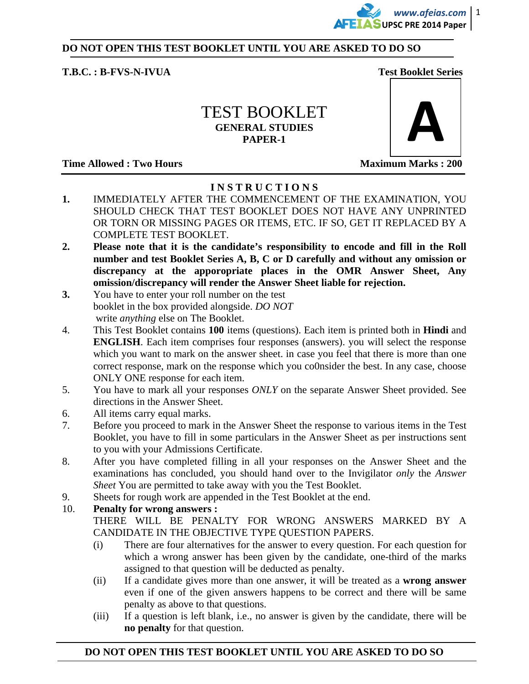

#### **DO NOT OPEN THIS TEST BOOKLET UNTIL YOU ARE ASKED TO DO SO**

#### **T.B.C. : B-FVS-N-IVUA Test Booklet Series**

## TEST BOOKLET **GENERAL STUDIES PAPER-1**

**Time Allowed : Two Hours Maximum Marks : 200**  Maximum Marks : 200 **Maximum Marks : 200** 



### **I N S T R U C T I O N S**

- **1.** IMMEDIATELY AFTER THE COMMENCEMENT OF THE EXAMINATION, YOU SHOULD CHECK THAT TEST BOOKLET DOES NOT HAVE ANY UNPRINTED OR TORN OR MISSING PAGES OR ITEMS, ETC. IF SO, GET IT REPLACED BY A COMPLETE TEST BOOKLET.
- **2. Please note that it is the candidate's responsibility to encode and fill in the Roll number and test Booklet Series A, B, C or D carefully and without any omission or discrepancy at the apporopriate places in the OMR Answer Sheet, Any omission/discrepancy will render the Answer Sheet liable for rejection.**
- **3.** You have to enter your roll number on the test booklet in the box provided alongside. *DO NOT*  write *anything* else on The Booklet.
- 4. This Test Booklet contains **100** items (questions). Each item is printed both in **Hindi** and **ENGLISH**. Each item comprises four responses (answers). you will select the response which you want to mark on the answer sheet. in case you feel that there is more than one correct response, mark on the response which you co0nsider the best. In any case, choose ONLY ONE response for each item.
- 5. You have to mark all your responses *ONLY* on the separate Answer Sheet provided. See directions in the Answer Sheet.
- 6. All items carry equal marks.
- 7. Before you proceed to mark in the Answer Sheet the response to various items in the Test Booklet, you have to fill in some particulars in the Answer Sheet as per instructions sent to you with your Admissions Certificate.
- 8. After you have completed filling in all your responses on the Answer Sheet and the examinations has concluded, you should hand over to the Invigilator *only* the *Answer Sheet* You are permitted to take away with you the Test Booklet.
- 9. Sheets for rough work are appended in the Test Booklet at the end.

### 10. **Penalty for wrong answers :**

 THERE WILL BE PENALTY FOR WRONG ANSWERS MARKED BY A CANDIDATE IN THE OBJECTIVE TYPE QUESTION PAPERS.

- (i) There are four alternatives for the answer to every question. For each question for which a wrong answer has been given by the candidate, one-third of the marks assigned to that question will be deducted as penalty.
- (ii) If a candidate gives more than one answer, it will be treated as a **wrong answer** even if one of the given answers happens to be correct and there will be same penalty as above to that questions.
- (iii) If a question is left blank, i.e., no answer is given by the candidate, there will be **no penalty** for that question.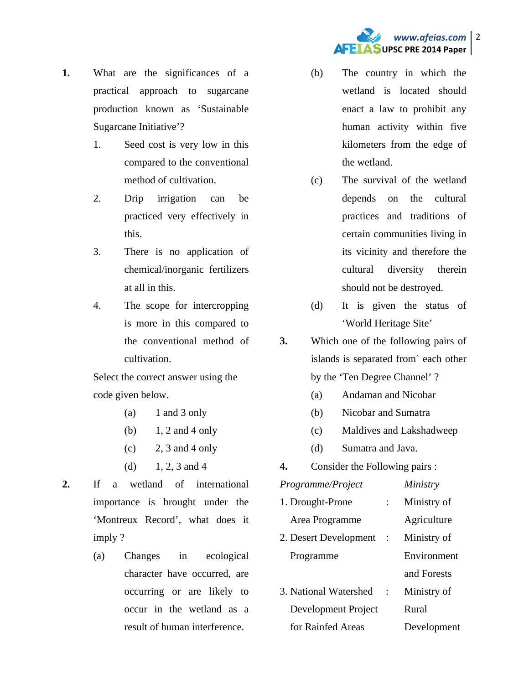

- **1.** What are the significances of a practical approach to sugarcane production known as 'Sustainable Sugarcane Initiative'?
	- 1. Seed cost is very low in this compared to the conventional method of cultivation.
	- 2. Drip irrigation can be practiced very effectively in this.
	- 3. There is no application of chemical/inorganic fertilizers at all in this.
	- 4. The scope for intercropping is more in this compared to the conventional method of cultivation.

Select the correct answer using the code given below.

- $(a)$  1 and 3 only
- (b) 1, 2 and 4 only
- $(c)$  2, 3 and 4 only
- (d)  $1, 2, 3$  and 4
- **2.** If a wetland of international importance is brought under the 'Montreux Record', what does it imply ?
	- (a) Changes in ecological character have occurred, are occurring or are likely to occur in the wetland as a result of human interference.
- (b) The country in which the wetland is located should enact a law to prohibit any human activity within five kilometers from the edge of the wetland.
- (c) The survival of the wetland depends on the cultural practices and traditions of certain communities living in its vicinity and therefore the cultural diversity therein should not be destroyed.
- (d) It is given the status of 'World Heritage Site'
- **3.** Which one of the following pairs of islands is separated from` each other by the 'Ten Degree Channel' ?
	- (a) Andaman and Nicobar
	- (b) Nicobar and Sumatra
	- (c) Maldives and Lakshadweep
	- (d) Sumatra and Java.
- **4.** Consider the Following pairs :

| Programme/Project     |           | Ministry    |
|-----------------------|-----------|-------------|
| 1. Drought-Prone      |           | Ministry of |
| Area Programme        |           | Agriculture |
| 2. Desert Development | $\cdot$ : | Ministry of |
| Programme             |           | Environment |
|                       |           | and Forests |
| 3. National Watershed |           | Ministry of |
| Development Project   |           | Rural       |
| for Rainfed Areas     |           | Development |
|                       |           |             |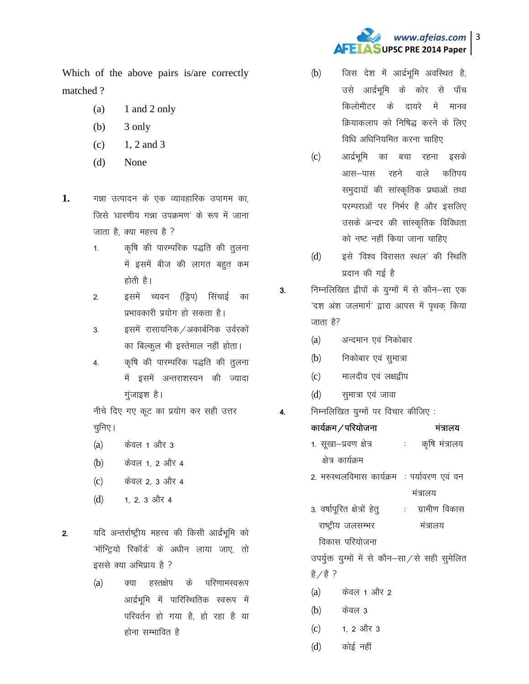

Which of the above pairs is/are correctly matched?

- 1 and 2 only  $(a)$
- $(b)$ 3 only
- 1, 2 and 3  $(c)$
- $(d)$ None
- 1. गन्ना उत्पादन के एक व्यावहारिक उपागम का, जिसे 'धारणीय गन्ना उपक्रमण' के रूप में जाना जाता है, क्या महत्त्व है ?
	- कृषि की पारम्परिक पद्धति की तुलना  $1.$ में इसमें बीज की लागत बहुत कम होती है।

इसमें च्यवन (ड्रिप) सिंचाई का  $2.$ प्रभावकारी प्रयोग हो सकता है।

इसमें रासायनिक /अकार्बनिक उर्वरकों 3. का बिल्कुल भी इस्तेमाल नहीं होता।

कृषि की पारम्परिक पद्धति की तुलना  $4.$ में इसमें अन्तराशस्यन की ज्यादा गुजाइश है।

नीचे दिए गए कूट का प्रयोग कर सही उत्तर चुनिए ।

- <u>केवल 1 और 3</u>  $(a)$
- केवल 1, 2 और 4  $(b)$
- केवल 2, 3 और 4  $(c)$
- $(d)$ 1, 2, 3 और 4

यदि अन्तर्राष्ट्रीय महत्त्व की किसी आर्द्रभूमि को  $2.$ 'मॉन्ट्रियो रिकॉर्ड' के अधीन लाया जाए, तो इससे क्या अभिप्राय है ?

> $(a)$ क्या हस्तक्षेप के परिणामस्वरूप आर्द्रभूमि में पारिस्थितिक स्वरूप में परिवर्तन हो गया है. हो रहा है या होना सम्भावित है

- जिस देश में आर्द्रभूमि अवस्थित है,  $(b)$ उसे आर्द्रभूमि के कोर से पाँच किलोमीटर के दायरे में मानव क्रियाकलाप को निषिद्ध करने के लिए विधि अधिनियमित करना चाहिए
- आर्द्रभूमि का बचा रहना इसके  $(c)$ रहने वाले कतिपय आस–पास समुदायों की सांस्कृतिक प्रथाओं तथा परम्पराओं पर निर्भर है और इसलिए उसके अन्दर की सांस्कृतिक विविधता को नष्ट नहीं किया जाना चाहिए
- $(d)$ इसे 'विश्व विरासत स्थल' की स्थिति प्रदान की गई है
- निम्नलिखित द्वीपों के युग्मों में से कौन–सा एक  $3.$ 'दश अंश जलमार्ग' द्वारा आपस में पृथक किया जाता है?
	- $(a)$ अन्दमान एवं निकोबार
	- $(b)$ निकोबार एवं सुमात्रा
	- मालदीव एवं लक्षद्नीप  $(c)$
	- सुमात्रा एवं जावा  $(d)$

 $\overline{4}$ .

निम्नलिखित युग्मों पर विचार कीजिए:

| कार्यक्रम ⁄ परियोजना                         |    | मंत्रालय      |
|----------------------------------------------|----|---------------|
| 1. सूखा–प्रवण क्षेत्र                        | ÷. | कृषि मंत्रालय |
| क्षेत्र कार्यक्रम                            |    |               |
| 2. मरुस्थलविमास कार्यक्रम  : पर्यावरण एवं वन |    |               |
|                                              |    | मंत्रालय      |
| 3. वर्षापूरित क्षेत्रों हेतू                 |    | ग्रामीण विकास |
| राष्ट्रीय जलसम्भर                            |    | मत्रालय       |
| विकास परियोजना                               |    |               |
|                                              |    |               |

उपर्युक्त युग्मों में से कौन–सा/से सही सुमेलित है $/$ हैं ?

- केवल 1 और 2  $(a)$
- केवल ३  $(b)$
- 1. 2 और 3  $(c)$
- $(d)$ कोई नहीं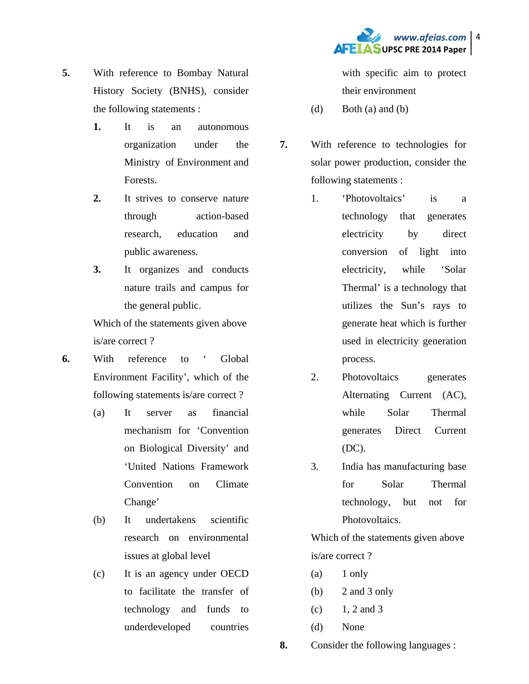

- **5.** With reference to Bombay Natural History Society (BNHS), consider the following statements :
	- **1.** It is an autonomous organization under the Ministry of Environment and Forests.
	- **2.** It strives to conserve nature through action-based research, education and public awareness.
	- **3.** It organizes and conducts nature trails and campus for the general public.

Which of the statements given above is/are correct ?

- **6.** With reference to ' Global Environment Facility', which of the following statements is/are correct ?
	- (a) It server as financial mechanism for 'Convention on Biological Diversity' and 'United Nations Framework Convention on Climate Change'

(b) It undertakens scientific research on environmental issues at global level

(c) It is an agency under OECD to facilitate the transfer of technology and funds to underdeveloped countries

with specific aim to protect their environment

- (d) Both (a) and (b)
- **7.** With reference to technologies for solar power production, consider the following statements :
	- 1. 'Photovoltaics' is a technology that generates electricity by direct conversion of light into electricity, while 'Solar Thermal' is a technology that utilizes the Sun's rays to generate heat which is further used in electricity generation process.
	- 2. Photovoltaics generates Alternating Current (AC), while Solar Thermal generates Direct Current (DC).
	- 3. India has manufacturing base for Solar Thermal technology, but not for Photovoltaics.

Which of the statements given above is/are correct ?

- $(a)$  1 only
- $(b)$  2 and 3 only
- $(c)$  1, 2 and 3
- (d) None

**8.** Consider the following languages :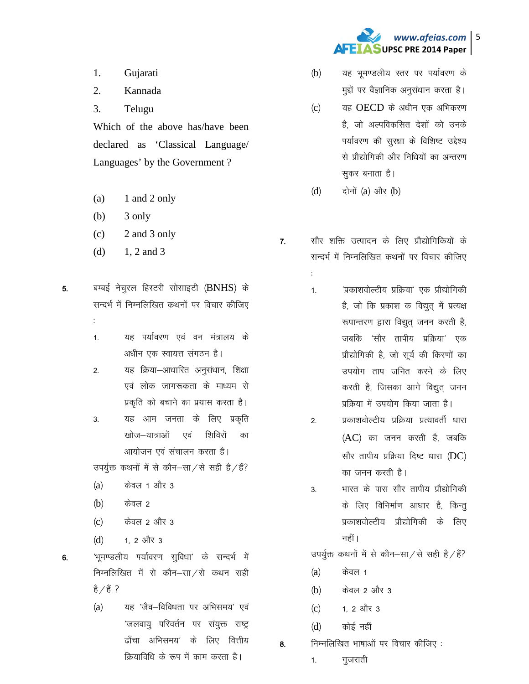

- 1. Gujarati
- 2. Kannada
- 3. Telugu

Which of the above has/have been declared as 'Classical Language/ Languages' by the Government ?

- $(a)$  1 and 2 only
- (b) 3 only

%

- $(c)$  2 and 3 only
- (d)  $1, 2$  and 3
- 5. बम्बई नेचुरल हिस्टरी सोसाइटी (BNHS) के सन्दर्भ में निम्नलिखित कथनों पर विचार कीजिए
	- 1. यह पर्यावरण एवं वन मंत्रालय के अधीन एक स्वायत्त संगठन है।
	- 2. यह क्रिया-आधारित अनुसंधान, शिक्षा एवं लोक जागरूकता के माध्यम से प्रकृति को बचाने का प्रयास करता है।
	- 3. यह आम जनता के लिए प्रकृति खोज–यात्राओं एवं शिविरों का आयोजन एवं संचालन करता है।

उपर्युक्त कथनों में से कौन–सा $\overline{z}$ से सही है $\overline{z}$ ें

- $(a)$  केवल 1 और 3
- $(b)$  केवल 2
- (c) केवल 2 और 3
- $(d)$  1, 2 और 3

6. 'भूमण्डलीय पर्यावरण सुविधा' के सन्दर्भ में निम्नलिखित में से कौन $-$ सा $/$ से कथन सही है $\angle$ हैं ?

> (a) यह 'जैव-विविधता पर अभिसमय' एवं 'जलवायु परिवर्तन पर संयुक्त राष्ट्र ढाँचा अभिसमय' के लिए वित्तीय क्रियाविधि के रूप में काम करता है।

- (b) यह भूमण्डलीय स्तर पर पर्यावरण के मुद्दों पर वैज्ञानिक अनुसंधान करता है।
- $(c)$   $\qquad$  यह OECD के अधीन एक अभिकरण है, जो अल्पविकसित देशों को उनके पर्यावरण की सुरक्षा के विशिष्ट उद्देश्य से प्रौद्योगिकी और निधियों का अन्तरण सकर बनाता है।
- $(d)$  दोनों  $(a)$  और  $(b)$

%

- 7. सौर शक्ति उत्पादन के लिए प्रौद्योगिकियों के सन्दर्भ में निम्नलिखित कथनों पर विचार कीजिए
	- 1- ^izdk'koksYVh; izfØ;k^ ,d izkS|ksfxdh है, जो कि प्रकाश क विद्युत में प्रत्यक्ष रूपान्तरण द्वारा विद्युत् जनन करती है, जबकि 'सौर तापीय प्रक्रिया' एक प्रौद्योगिकी है, जो सूर्य की किरणों का उपयोग ताप जनित करने के लिए करती है, जिसका आगे विद्युत जनन प्रक्रिया में उपयोग किया जाता है।
	- 2. प्रकाशवोल्टीय प्रक्रिया प्रत्यावर्ती धारा  $(AC)$  का जनन करती है, जबकि सौर तापीय प्रक्रिया दिष्ट धारा  $(DC)$ का जनन करती है।
	- 3. भारत के पास सौर तापीय प्रौद्योगिकी के लिए विनिर्माण आधार है, किन्तु प्रकाशवोल्टीय प्रौद्योगिकी के लिए नहीं।

उपर्युक्त कथनों में से कौन–सा $/$ से सही है $/$ हैं?

- $(a)$  केवल 1
- (b) केवल 2 और 3
- $(c)$  1, 2 और 3
- $(d)$   $\phi$  कोई नहीं
- $8.$  निम्नलिखित भाषाओं पर विचार कीजिए :
	- 1. गुजराती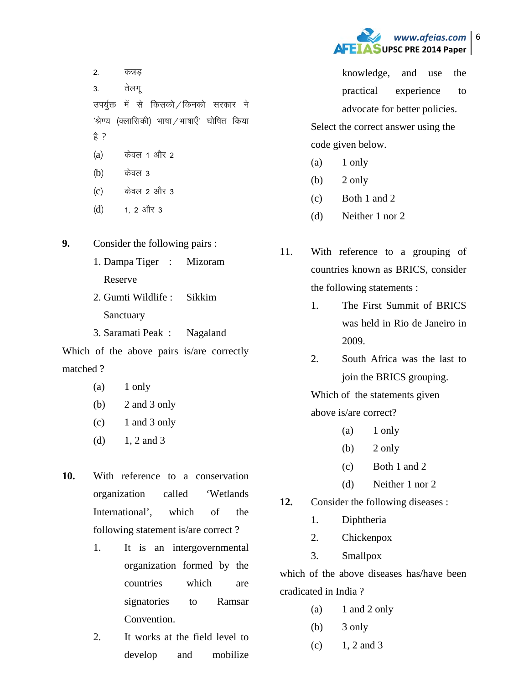

2. कन्नड 3. तेलगू उपर्युक्त में से किसको किनको सरकार ने  $'$ श्रेण्य (क्लासिकी) भाषा $/$ भाषाएँ $'$  घोषित किया हे ?  $(a)$  केवल 1 और 2  $(b)$  केवल 3  $(c)$  केवल 2 और 3

 $(d)$  1, 2 और 3

**9.** Consider the following pairs :

- 1. Dampa Tiger : Mizoram Reserve
- 2. Gumti Wildlife : Sikkim **Sanctuary**
- 3. Saramati Peak : Nagaland

Which of the above pairs is/are correctly matched ?

- $(a)$  1 only
- (b) 2 and 3 only
- (c) 1 and 3 only
- (d)  $1, 2$  and 3
- **10.** With reference to a conservation organization called 'Wetlands International', which of the following statement is/are correct ?
	- 1. It is an intergovernmental organization formed by the countries which are signatories to Ramsar Convention.
	- 2. It works at the field level to develop and mobilize

knowledge, and use the practical experience to advocate for better policies.

Select the correct answer using the code given below.

- $(a)$  1 only
- $(b)$  2 only
- (c) Both 1 and 2
- (d) Neither 1 nor 2
- 11. With reference to a grouping of countries known as BRICS, consider the following statements :
	- 1. The First Summit of BRICS was held in Rio de Janeiro in 2009.
	- 2. South Africa was the last to join the BRICS grouping.

Which of the statements given above is/are correct?

- $(a)$  1 only
- $(b)$  2 only
- (c) Both 1 and 2
- (d) Neither 1 nor 2
- **12.** Consider the following diseases :
	- 1. Diphtheria
	- 2. Chickenpox
	- 3. Smallpox

which of the above diseases has/have been cradicated in India ?

- $(a)$  1 and 2 only
- (b) 3 only
- $(c)$  1, 2 and 3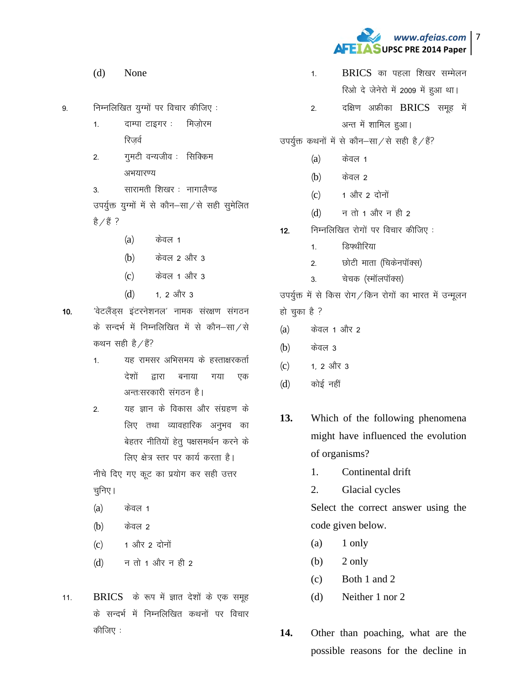

- $(d)$ None
- निम्नलिखित यूग्मों पर विचार कीजिए:  $\mathsf{q}$ 
	- दाम्पा टाइगर: मिजोरम  $1<sup>1</sup>$ रिजर्व
	- गुमटी वन्यजीव : सिक्किम  $2.$ अभयारण्य

सारामती शिखर : नागालैण्ड  $3<sub>1</sub>$ 

उपर्युक्त युग्मों में से कौन-सा/से सही सुमेलित है ∕ है ?

- $(a)$ केवल 1
- केवल 2 और 3  $(b)$
- $(c)$ केवल 1 और 3
- $(d)$ 1. 2 और 3
- $10<sub>1</sub>$ 'वेटलैंड्स इंटरनेशनल' नामक संरक्षण संगठन के सन्दर्भ में निम्नलिखित में से कौन–सा⁄से कथन सही है  $/$ हैं?
	- $1.$ यह रामसर अभिसमय के हस्ताक्षरकर्ता देशों द्वारा गया एक बनाया अन्त:सरकारी संगठन है।
	- यह ज्ञान के विकास और संग्रहण के  $2.$ लिए तथा व्यावहारिक अनुभव का बेहतर नीतियों हेतू पक्षसमर्थन करने के लिए क्षेत्र स्तर पर कार्य करता है।

नीचे दिए गए कूट का प्रयोग कर सही उत्तर चुनिए ।

- $(a)$ केवल 1
- केवल 2  $(b)$
- 1 और 2 दोनों  $(c)$
- न तो 1 और न ही 2  $(d)$
- BRICS के रूप में ज्ञात देशों के एक समूह  $11.$ के सन्दर्भ में निम्नलिखित कथनों पर विचार कीजिए :
- $BRICS$  का पहला शिखर सम्मेलन  $\mathbf{1}$ रिओ दे जेनेरो में 2009 में हुआ था।
- दक्षिण अफ्रीका BRICS समूह में  $2.$ अन्त में शामिल हुआ।
- उपर्युक्त कथनों में से कौन–सा/से सही है/हैं?
	- $(a)$ केवल 1
	- $(b)$ केवल २
	- $(c)$ 1 और 2 दोनों
	- $(d)$ न तो 1 और न ही 2
- निम्नलिखित रोगों पर विचार कीजिए:  $12.$ 
	- <u> हिफ्थीरिया</u>  $1<sup>1</sup>$
	- छोटी माता (चिकेनपॉक्स)  $\overline{2}$ .
	- चेचक (स्मॉलपॉक्स)  $\overline{3}$

उपर्युक्त में से किस रोग / किन रोगों का भारत में उन्मुलन हो चुका है ?

- केवल 1 और 2  $(a)$
- केवल 3  $(b)$
- 1, 2 और 3  $(c)$
- $(d)$ कोई नहीं
- 13. Which of the following phenomena might have influenced the evolution of organisms?
	- 1. Continental drift
	- $2.$ **Glacial cycles**

Select the correct answer using the code given below.

- (a) 1 only
- 2 only (b)
- Both 1 and 2  $(c)$
- Neither 1 nor 2  $(d)$
- 14. Other than poaching, what are the possible reasons for the decline in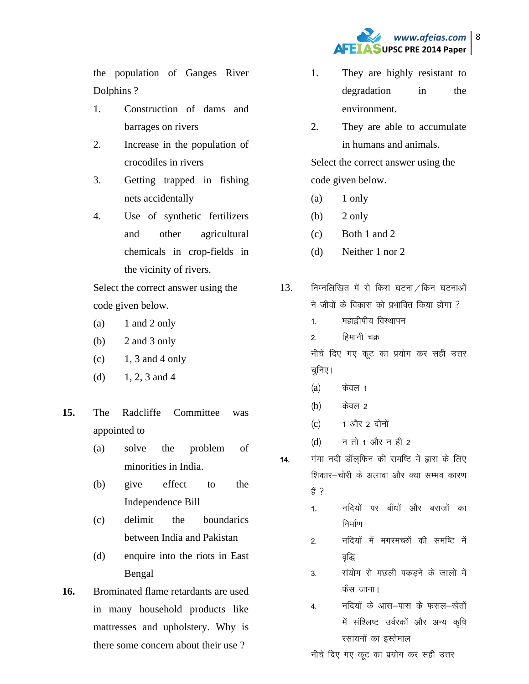

the population of Ganges River Dolphins ?

- 1. Construction of dams and barrages on rivers
- 2. Increase in the population of crocodiles in rivers
- 3. Getting trapped in fishing nets accidentally
- 4. Use of synthetic fertilizers and other agricultural chemicals in crop-fields in the vicinity of rivers.

Select the correct answer using the code given below.

- (a)  $1$  and  $2$  only
- (b) 2 and 3 only
- $(c)$  1, 3 and 4 only
- (d)  $1, 2, 3$  and 4
- **15.** The Radcliffe Committee was appointed to
	- (a) solve the problem of minorities in India.
	- (b) give effect to the Independence Bill
	- (c) delimit the boundarics between India and Pakistan
	- (d) enquire into the riots in East Bengal
- **16.** Brominated flame retardants are used in many household products like mattresses and upholstery. Why is there some concern about their use ?
- 1. They are highly resistant to degradation in the environment.
- 2. They are able to accumulate in humans and animals.

Select the correct answer using the code given below.

- $(a)$  1 only
- $(b)$  2 only
- (c) Both 1 and 2
- (d) Neither 1 nor 2
- $13.$  निम्नलिखित में से किस घटना / किन घटनाओं ने जीवों के विकास को प्रभावित किया होगा ?
	- 1 महाद्वीपीय विस्थापन
	- 2. हिमानी चक्र
	- नीचे दिए गए कूट का प्रयोग कर सही उत्तर चुनिए ।
	- $(a)$  केवल 1
	- (**b**) केवल 2
	- $(c)$  1 और 2 दोनों
	- $(d)$  न तो 1 और न ही 2
- 14. गंगा नदी डॉल़फिन की समष्टि में ह्रास के लिए शिकार-चोरी के अलावा और क्या सम्भव कारण  $\frac{2}{5}$  ?
	- 1. नदियों पर बाँधों और बराजों का निर्माण
	- 2. नदियों में मगरमच्छों की समष्टि में वद्धि
	- 3. सयोग से मछली पकड़ने के जालों में फँस जाना।
	- 4. नदियों के आस–पास के फसल–खेतों में संश्लिष्ट उर्वरकों और अन्य कृषि रसायनों का इस्तेमाल

नीचे दिए गए कूट का प्रयोग कर सही उत्तर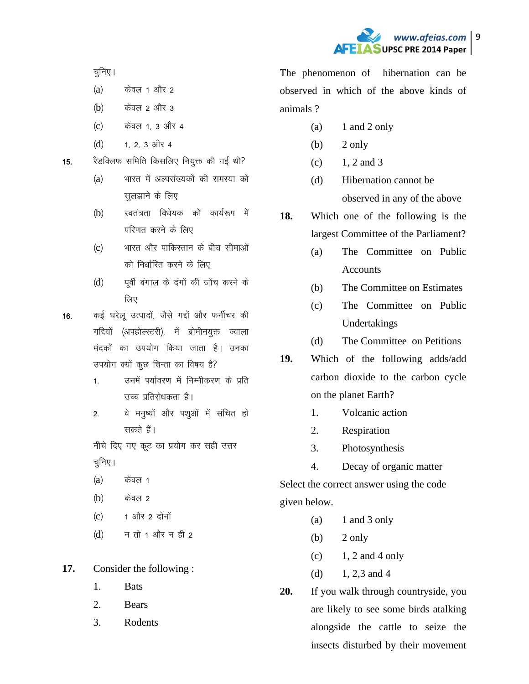

चुनिए ।

- $(a)$  केवल 1 और 2
- $(b)$  केवल 2 और 3
- (c) केवल 1, 3 और 4
- $(d)$  1, 2, 3 और 4

15. रैडक्लिफ समिति किसलिए नियुक्त की गई थी?

- (a) भारत में अल्पसंख्यकों की समस्या को सुलझाने के लिए
- (b) स्वतंत्रता विधेयक को कार्यरूप में परिणत करने के लिए
- $(c)$  भारत और पाकिस्तान के बीच सीमाओं को निर्धारित करने के लिए
- (d) पूर्वी बंगाल के दंगों की जाँच करने के लिए

16. कई घरेलू उत्पादों, जैसे गद्दों और फर्नीचर की गद्दियों (अपहोल्स्टरी), में ब्रोमीनयुक्त ज्वाला मंदकों का उपयोग किया जाता है। उनका उपयोग क्यों कुछ चिन्ता का विषय है?

- 1. जनमें पर्यावरण में निम्नीकरण के प्रति उच्च प्रतिरोधकता है।
- 2. वे मनुष्यों और पशुओं में संचित हो सकते हैं।

नीचे दिए गए कूट का प्रयोग कर सही उत्तर चूनिए ।

- $(a)$  केवल 1
- $(b)$  केवल 2
- $(c)$  1 और 2 दोनों
- $(d)$  न तो 1 और न ही 2

**17.** Consider the following :

- 1. Bats
- 2. Bears
- 3. Rodents

The phenomenon of hibernation can be observed in which of the above kinds of animals ?

- $(a)$  1 and 2 only
- $(b)$  2 only
- $(c)$  1, 2 and 3
- (d) Hibernation cannot be observed in any of the above
- **18.** Which one of the following is the largest Committee of the Parliament?
	- (a) The Committee on Public **Accounts**
	- (b) The Committee on Estimates
	- (c) The Committee on Public Undertakings
	- (d) The Committee on Petitions
- **19.** Which of the following adds/add carbon dioxide to the carbon cycle on the planet Earth?
	- 1. Volcanic action
	- 2. Respiration
	- 3. Photosynthesis
	- 4. Decay of organic matter

Select the correct answer using the code given below.

- $(a)$  1 and 3 only
- (b)  $2 \text{ only}$
- $(c)$  1, 2 and 4 only
- (d)  $1, 2, 3$  and 4
- **20.** If you walk through countryside, you are likely to see some birds atalking alongside the cattle to seize the insects disturbed by their movement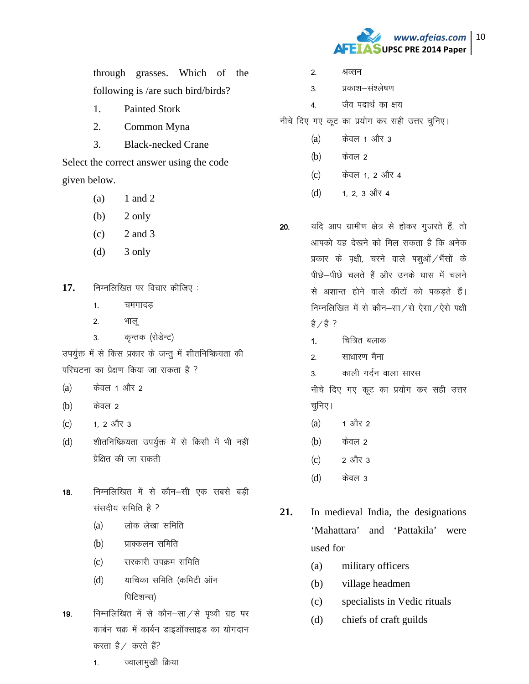

through grasses. Which of the following is /are such bird/birds?

- 1. Painted Stork
- 2. Common Myna
- 3. Black-necked Crane

Select the correct answer using the code given below.

- $(a)$  1 and 2
- $(b)$  2 only
- $(c)$  2 and 3
- (d) 3 only
- 17. निम्नलिखित पर विचार कीजिए :
	- 1. चमगादड
	- 2. भाल
	- 3. कृन्तक (रोडेन्ट)

उपर्युक्त में से किस प्रकार के जन्तू में शीतनिष्क्रियता की परिघटना का प्रेक्षण किया जा सकता है ?

- $(a)$  केवल 1 और 2
- $(b)$  केवल 2
- $(c)$  1, 2 और 3
- (d) शीतनिष्क्रियता उपर्युक्त में से किसी में भी नहीं प्रेक्षित की जा सकती
- 18. Fिम्नलिखित में से कौन-सी एक सबसे बडी संसदीय समिति है ?
	- $(a)$  लोक लेखा समिति
	- $(b)$  प्राक्कलन समिति
	- (c) सरकारी उपक्रम समिति
	- (d) याचिका समिति (कमिटी ऑन पिटिशन्स)
- 19. निम्नलिखित में से कौन $-$ सा $/$ से पृथ्वी ग्रह पर कार्बन चक्र में कार्बन डाइऑक्साइड का योगदान करता है / करते हैं?
- 2. श्रव्सन
- 3. प्रकाश-संश्लेषण
- 4. जैव पदार्थ का क्षय
- नीचे दिए गए कूट का प्रयोग कर सही उत्तर चुनिए।
	- $(a)$  केवल 1 और 3
	- $(b)$  केवल 2
	- (c) केवल 1, 2 और 4
	- $(d)$  1, 2, 3 और 4
- 20. यदि आप ग्रामीण क्षेत्र से होकर गुजरते हैं, तो आपको यह देखने को मिल सकता है कि अनेक प्रकार के पक्षी, चरने वाले पशुओं / भैंसों के पीछे-पीछे चलते हैं और उनके घास में चलने से अशान्त होने वाले कीटों को पकड़ते हैं। निम्नलिखित में से कौन-सा $\chi$ से ऐसा $\chi$ ऐसे पक्षी  $\frac{2}{5}$ / $\frac{2}{5}$ ?
	- $1.$  वित्रित बलाक
	- 2<sup>-</sup> साधारण मैना
	- 3. काली गर्दन वाला सारस

नीचे दिए गए कूट का प्रयोग कर सही उत्तर चुनिए।

- $(a)$  1 और 2
- $(b)$  केवल 2
- (c) 2 और 3
- (d) केवल 3
- **21.** In medieval India, the designations 'Mahattara' and 'Pattakila' were used for
	- (a) military officers
	- (b) village headmen
	- (c) specialists in Vedic rituals
	- (d) chiefs of craft guilds

1. ज्वालामुखी क्रिया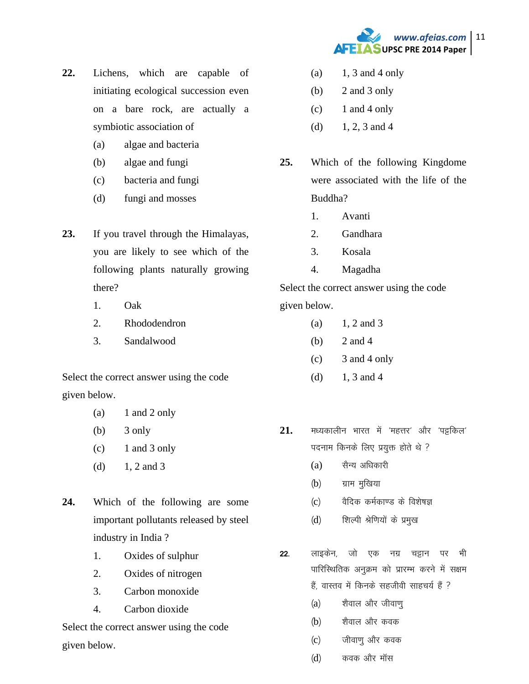

- $22.$ Lichens, which are capable of initiating ecological succession even on a bare rock, are actually a symbiotic association of
	- algae and bacteria  $(a)$
	- $(b)$ algae and fungi
	- bacteria and fungi  $(c)$
	- fungi and mosses  $(d)$
- 23. If you travel through the Himalayas, you are likely to see which of the following plants naturally growing there?
	- $1<sup>1</sup>$  $Oak$
	- $\overline{2}$ . Rhododendron
	- $3.$ Sandalwood

Select the correct answer using the code given below.

- 1 and 2 only  $(a)$
- (b) 3 only
- 1 and 3 only  $(c)$
- $1, 2$  and  $3$  $(d)$
- $24.$ Which of the following are some important pollutants released by steel industry in India?
	- $1.$ Oxides of sulphur
	- 2. Oxides of nitrogen
	- $\mathcal{R}$ Carbon monoxide
	- $\overline{4}$ . Carbon dioxide

Select the correct answer using the code given below.

- 1, 3 and 4 only  $(a)$
- $(b)$ 2 and 3 only
- $(c)$ 1 and 4 only
- $1, 2, 3$  and 4  $(d)$
- $25.$ Which of the following Kingdome were associated with the life of the Buddha?
	- $1<sub>1</sub>$ Avanti
	- $2.$ Gandhara
	- $3.$ Kosala
	- $\overline{4}$ . Magadha

Select the correct answer using the code given below.

- $1, 2$  and  $3$  $(a)$
- $(b)$ 2 and 4
- $(c)$ 3 and 4 only
- $(d)$ 1. 3 and 4
- 21. मध्यकालीन भारत में 'महत्तर' और 'पट्टकिल' पदनाम किनके लिए प्रयुक्त होते थे ?
	- सैन्य अधिकारी  $(a)$
	- $(b)$ ग्राम मुखिया
	- वैदिक कर्मकाण्ड के विशेषज्ञ  $(c)$
	- शिल्पी श्रेणियों के प्रमुख  $(d)$
- लाइकेन जो एक नग्न चड़ान पर भी  $22.$ पारिस्थितिक अनुक्रम को प्रारम्भ करने में सक्षम हैं. वास्तव में किनके सहजीवी साहचर्य हैं ?
	- शैवाल और जीवाणू  $(a)$
	- शैवाल और कवक  $(b)$
	- जीवाणु और कवक  $(c)$
	- $(d)$ कवक और मॉस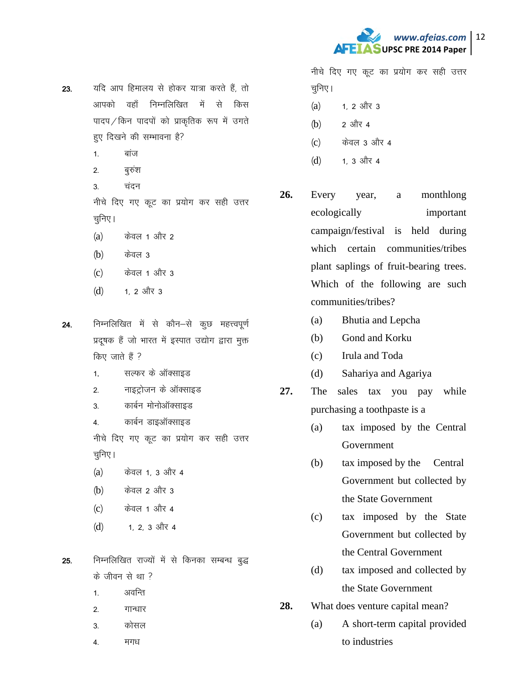

- 23. यदि आप हिमालय से होकर यात्रा करते हैं. तो आपको वहाँ निम्नलिखित में से किस पादप $/$ किन पादपों को प्राकृतिक रूप में उगते हुए दिखने की सम्भावना है?
	- $1 -$  and
	- 2. बुरुश
	- 3. चंदन

नीचे दिए गए कूट का प्रयोग कर सही उत्तर चुनिए ।

- $(a)$  केवल 1 और 2
- $(b)$  केवल 3
- $(c)$  केवल 1 और 3
- $(d)$  1, 2 और 3
- 24. निम्नलिखित में से कौन–से कुछ महत्त्वपूर्ण प्रदूषक हैं जो भारत में इस्पात उद्योग द्वारा मुक्त किए जाते हैं ?
	- 1. सल्फर के ऑक्साइड
	- 2. माइट्रोजन के ऑक्साइड
	- 3. कार्बन मोनोऑक्साइड
	- 4. कार्बन डाइऑक्साइड

नीचे दिए गए कूट का प्रयोग कर सही उत्तर चुनिए ।

- $(a)$  केवल 1, 3 और 4
- $(b)$  केवल 2 और 3
- $(c)$  केवल 1 और 4
- $(d)$  1, 2, 3 और 4
- 25. निम्नलिखित राज्यों में से किनका सम्बन्ध बुद्ध  $\vec{a}$  जीवन से था ?
	- 1. अवन्ति
	- 2. गान्धार
	- 3 कोसल
	- 4. मगध

नीचे दिए गए कूट का प्रयोग कर सही उत्तर चुनिए।

- $(a)$  1, 2 और 3
- $(b)$  2 और 4
- (c) केवल 3 और 4
- $(d)$  1. 3 और 4
- **26.** Every year, a monthlong ecologically important campaign/festival is held during which certain communities/tribes plant saplings of fruit-bearing trees. Which of the following are such communities/tribes?
	- (a) Bhutia and Lepcha
	- (b) Gond and Korku
	- (c) Irula and Toda
	- (d) Sahariya and Agariya
- **27.** The sales tax you pay while purchasing a toothpaste is a
	- (a) tax imposed by the Central Government
	- (b) tax imposed by the Central Government but collected by the State Government
	- (c) tax imposed by the State Government but collected by the Central Government
	- (d) tax imposed and collected by the State Government
- **28.** What does venture capital mean?
	- (a) A short-term capital provided to industries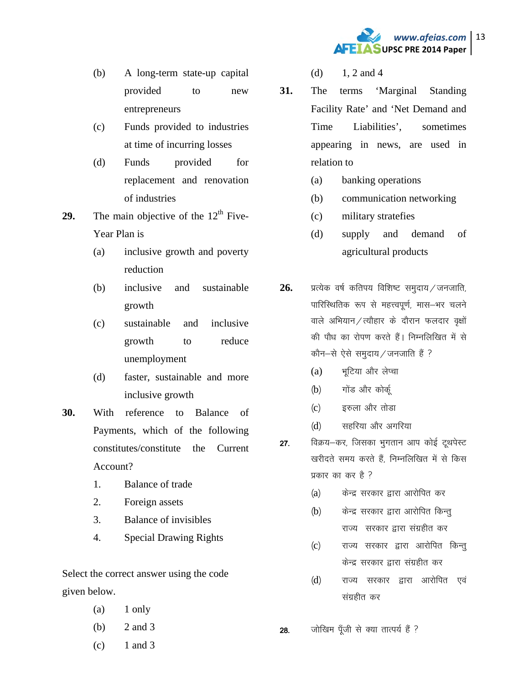

- (b) A long-term state-up capital provided to new entrepreneurs
- (c) Funds provided to industries at time of incurring losses
- (d) Funds provided for replacement and renovation of industries
- **29.** The main objective of the  $12<sup>th</sup>$  Five-Year Plan is
	- (a) inclusive growth and poverty reduction
	- (b) inclusive and sustainable growth
	- (c) sustainable and inclusive growth to reduce unemployment
	- (d) faster, sustainable and more inclusive growth
- **30.** With reference to Balance of Payments, which of the following constitutes/constitute the Current Account?
	- 1. Balance of trade
	- 2. Foreign assets
	- 3. Balance of invisibles
	- 4. Special Drawing Rights

Select the correct answer using the code given below.

- $(a)$  1 only
- (b) 2 and 3
- $(c)$  1 and 3
- (d)  $1, 2$  and 4
- **31.** The terms 'Marginal Standing Facility Rate' and 'Net Demand and Time Liabilities', sometimes appearing in news, are used in relation to
	- (a) banking operations
	- (b) communication networking
	- (c) military stratefies
	- (d) supply and demand of agricultural products
- $26.$  x प्रत्येक वर्ष कतिपय विशिष्ट समुदाय / जनजाति, पारिस्थितिक रूप से महत्त्वपूर्ण, मास-भर चलने वाले अभियान / त्यौहार के दौरान फलदार वृक्षों की पौध का रोपण करते हैं। निम्नलिखित में से  $\vec{\phi}$ कौन-से ऐसे समुदाय/जनजाति हैं ?
	- $(a)$  भुटिया और लेप्चा
	- (b) गोंड और कोर्कू
	- $(c)$  हरुला और तोड़ा
	- (d) सहरिया और अगरिया
- 27. विक्रय-कर, जिसका भगतान आप कोई ट्थपेस्ट खरीदते समय करते हैं, निम्नलिखित में से किस प्रकार का कर है ?
	- (a) केन्द्र सरकार द्वारा आरोपित कर
	- (b) केन्द्र सरकार द्वारा आरोपित किन्तू राज्य सरकार द्वारा संग्रहीत कर
	- (c) राज्य सरकार द्वारा आरोपित किन्तु केन्द्र सरकार द्वारा संग्रहीत कर
	- (d) राज्य सरकार द्वारा आरोपित एवं संग्रहीत कर
- 28. जोखिम पूँजी से क्या तात्पर्य हैं ?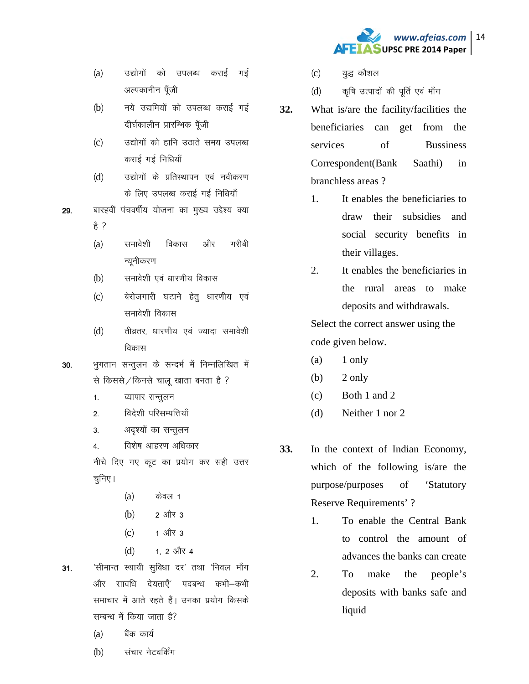

- (a) उद्योगों को उपलब्ध कराई गई अल्पकानीन पूँजी
- (b) नये उद्यमियों को उपलब्ध कराई गई दीर्घकालीन प्रारम्भिक पॅंजी
- (c) उद्योगों को हानि उठाते समय उपलब्ध कराई गई निधियाँ
- (d) जद्योगों के प्रतिस्थापन एवं नवीकरण के लिए उपलब्ध कराई गई निधियाँ
- 29. बारहवीं पंचवर्षीय योजना का मुख्य उद्देश्य क्या  $\frac{4}{5}$  ?
	- (a) समावेशी विकास और गरीबी न्यूनीकरण
	- (b) समावेशी एवं धारणीय विकास
	- (c) बेरोजगारी घटाने हेतू धारणीय एवं समावेशी विकास
	- (d) तीव्रतर, धारणीय एवं ज्यादा समावेशी विकास
- 30. भुगतान सन्तुलन के सन्दर्भ में निम्नलिखित में से किससे / किनसे चालू खाता बनता है ?
	- 1. व्यापार सन्तूलन
	- 2. विदेशी परिसम्पत्तियाँ
	- 3. अदृश्यों का सन्तुलन
	- 4. विशेष आहरण अधिकार

नीचे दिए गए कूट का प्रयोग कर सही उत्तर चुनिए ।

- $(a)$  केवल 1
- $(b)$  2 और 3
- $(c)$  1 और 3
- $(d)$  1, 2 और 4
- 31.  $\dot{}$  'सीमान्त स्थायी सुविधा दर' तथा 'निवल माँग और सावधि देयताएँ पदबन्ध कभी–कभी समाचार में आते रहते हैं। उनका प्रयोग किसके सम्बन्ध में किया जाता है?
	- $(a)$  बैंक कार्य
	- (b) संचार नेटवर्किंग
- $(c)$  युद्ध कौशल
- (d) कृषि उत्पादों की पूर्ति एवं माँग
- **32.** What is/are the facility/facilities the beneficiaries can get from the services of Bussiness Correspondent(Bank Saathi) in branchless areas ?
	- 1. It enables the beneficiaries to draw their subsidies and social security benefits in their villages.
	- 2. It enables the beneficiaries in the rural areas to make deposits and withdrawals.

Select the correct answer using the code given below.

- $(a)$  1 only
- $(b)$  2 only
- (c) Both 1 and 2
- (d) Neither 1 nor 2
- **33.** In the context of Indian Economy, which of the following is/are the purpose/purposes of 'Statutory Reserve Requirements' ?
	- 1. To enable the Central Bank to control the amount of advances the banks can create
	- 2. To make the people's deposits with banks safe and liquid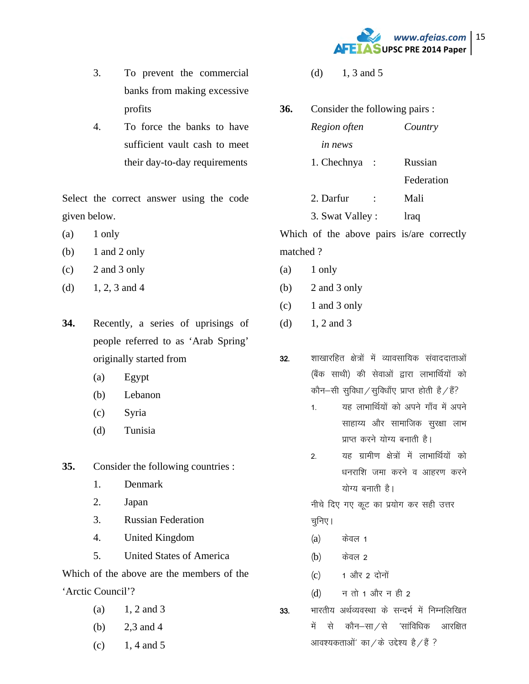

- 3. To prevent the commercial banks from making excessive profits
- 4. To force the banks to have sufficient vault cash to meet their day-to-day requirements

Select the correct answer using the code given below.

- $(a)$  1 only
- (b)  $1$  and  $2$  only
- (c) 2 and 3 only
- (d)  $1, 2, 3$  and 4
- **34.** Recently, a series of uprisings of people referred to as 'Arab Spring' originally started from
	- (a) Egypt
	- (b) Lebanon
	- (c) Syria
	- (d) Tunisia

**35.** Consider the following countries :

- 1. Denmark
- 2. Japan
- 3. Russian Federation
- 4. United Kingdom
- 5. United States of America

Which of the above are the members of the 'Arctic Council'?

- (a)  $1, 2$  and 3
- (b) 2,3 and 4
- $(c)$  1, 4 and 5
- (d)  $1, 3$  and 5
- **36.** Consider the following pairs : *Region often Country in news*  1. Chechnya : Russian Federation 2. Darfur : Mali 3. Swat Valley : lraq

Which of the above pairs is/are correctly matched ?

- (a) 1 only
- (b) 2 and 3 only
- $(c)$  1 and 3 only
- (d)  $1, 2$  and 3
- 32. शाखारहित क्षेत्रों में व्यावसायिक संवाददाताओं (बैंक साथी) की सेवाओं द्वारा लाभार्थियों को कौन–सी सुविधा / सुविधाँए प्राप्त होती है / हैं?
	- 1. यह लाभार्थियों को अपने गाँव में अपने साहाय्य और सामाजिक सुरक्षा लाभ प्राप्त करने योग्य बनाती है।
	- 2. यह ग्रामीण क्षेत्रों में लाभार्थियों को धनराशि जमा करने व आहरण करने योग्य बनाती है।

नीचे दिए गए कूट का प्रयोग कर सही उत्तर चुनिए ।

- $(a)$  केवल 1
- (b) केवल 2
- $(c)$  1 और 2 दोनों
- $(d)$  न तो 1 और न ही 2

33. भारतीय अर्थव्यवस्था के सन्दर्भ में निम्नलिखित में से कौन—सा ⁄ से 'सांविधिक आरक्षित

आवश्यकताओं' का / के उद्देश्य है / है ?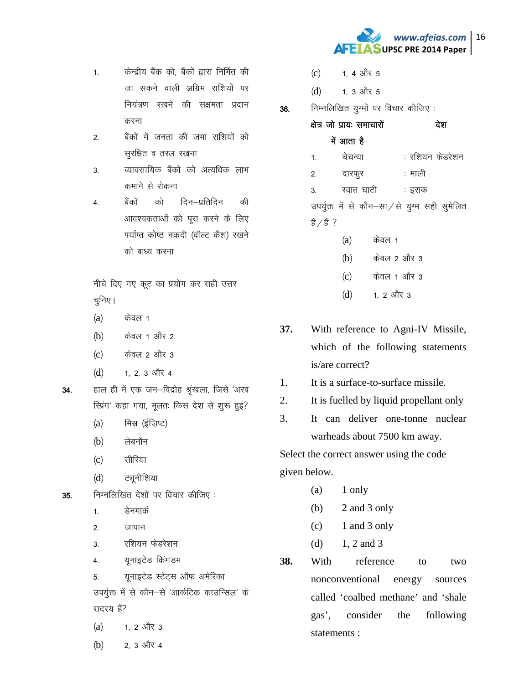www.afeias.com 16 **AFEIASUPSC PRE 2014 Paper** 

- केन्द्रीय बैंक को, बैंकों द्वारा निर्मित की  $1.$ जा सकने वाली अग्रिम राशियों पर नियंत्रण रखने की सक्षमता प्रदान करना
- बैंकों में जनता की जमा राशियों को  $2.$ सूरक्षित व तरल रखना
- व्यावसायिक बैंकों को अत्यधिक लाभ  $3<sub>1</sub>$ कमाने से रोकना
- को टिन–प्रतिटिन बैंको की  $\overline{4}$ . आवश्यकताओं को पूरा करने के लिए पर्याप्त कोष्ठ नकदी (वॉल्ट कैश) रखने को बाध्य करना

नीचे दिए गए कूट का प्रयोग कर सही उत्तर चूनिए ।

- $(a)$ केवल 1
- केवल 1 और 2  $(b)$
- केवल 2 और 3  $(c)$
- $(d)$ 1. 2. 3 और 4
- हाल ही में एक जन-विद्रोह श्रृंखला, जिसे 'अरब 34. रिप्रंग' कहा गया, मूलतः किस देश से शुरू हुई?
	- मिस्र (ईज़िप्ट)  $(a)$
	- लेबनॉन  $(b)$
	- सीरिया  $(c)$
	- ट्यनीशिया  $(d)$
- निम्नलिखित देशों पर विचार कीजिए: 35.
	- डेनमार्क  $\mathbf{1}$
	- जापान  $\overline{2}$
	- रशियन फेडरेशन  $\overline{3}$
	- 4. यूनाइटेड किंगडम
	- यूनाइटेड स्टेट्स ऑफ अमेरिका 5.

उपर्युक्त में से कौन–से 'आर्कटिक काउन्सिल' के सदस्य हैं?

- 1. 2 और 3  $(a)$
- 2, 3 और 4  $(b)$
- 1 4 और 5  $(c)$
- $(d)$ 1. 3 और 5
- निम्नलिखित युग्मों पर विचार कीजिए: 36.
	- क्षेत्र जो प्रायः समाचारों देश में आता है : रशियन फेडरेशन चेचन्या  $1.$ 
		- : माली  $\mathcal{P}$ दारफूर
		- स्वात घाटी  $\overline{3}$ : इराक

उपर्युक्त में से कौन-सा/से युग्म सही सुमेलित है ∕ है ?

- केवल 1  $(a)$
- केवल 2 और 3  $(b)$
- केवल 1 और 3  $(c)$
- 1. 2 और 3  $(d)$
- 37. With reference to Agni-IV Missile, which of the following statements is/are correct?
- It is a surface-to-surface missile. 1.
- 2. It is fuelled by liquid propellant only
- $\overline{3}$ . It can deliver one-tonne nuclear warheads about 7500 km away.

Select the correct answer using the code given below.

- (a) 1 only
- 2 and 3 only  $(b)$
- 1 and 3 only  $(c)$
- 1, 2 and 3  $(d)$
- 38. With reference to  $two$ nonconventional energy sources called 'coalbed methane' and 'shale gas'. consider the following statements: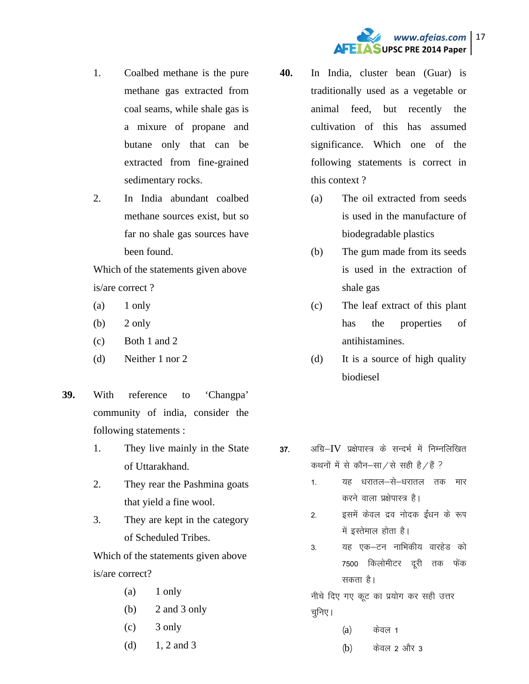# *www.afeias.com* 17 **AFEIASUPSC PRE 2014 Paper**

- 1. Coalbed methane is the pure methane gas extracted from coal seams, while shale gas is a mixure of propane and butane only that can be extracted from fine-grained sedimentary rocks.
- 2. In India abundant coalbed methane sources exist, but so far no shale gas sources have been found.

Which of the statements given above is/are correct ?

- $(a)$  1 only
- $(b)$  2 only
- (c) Both 1 and 2
- (d) Neither 1 nor 2
- **39.** With reference to 'Changpa' community of india, consider the following statements :
	- 1. They live mainly in the State of Uttarakhand.
	- 2. They rear the Pashmina goats that yield a fine wool.
	- 3. They are kept in the category of Scheduled Tribes.

Which of the statements given above is/are correct?

- $(a)$  1 only
- (b) 2 and 3 only
- $\c)$  3 only
- (d)  $1, 2$  and 3
- **40.** In India, cluster bean (Guar) is traditionally used as a vegetable or animal feed, but recently the cultivation of this has assumed significance. Which one of the following statements is correct in this context ?
	- (a) The oil extracted from seeds is used in the manufacture of biodegradable plastics
	- (b) The gum made from its seeds is used in the extraction of shale gas
	- (c) The leaf extract of this plant has the properties of antihistamines.
	- (d) It is a source of high quality biodiesel
- $37.$  अग्रि $-IV$  प्रक्षेपास्त्र के सन्दर्भ में निम्नलिखित कथनों में से कौन–सा $\alpha$ से सही है $\alpha$ है ?
	- 1- यह धरातल—से—धरातल तक मार करने वाला प्रक्षेपास्त्र है।
	- 2. इसमें केवल द्रव नोदक ईंधन के रूप में इस्तेमाल होता है।
	- 3. यह एक-टन नाभिकीय वारहेड को 7500 किलोमीटर दूरी तक फेंक सकता है।
	- नीचे दिए गए कूट का प्रयोग कर सही उत्तर चूनिए।
		- $(a)$  केवल 1
		- $(b)$  केवल 2 और 3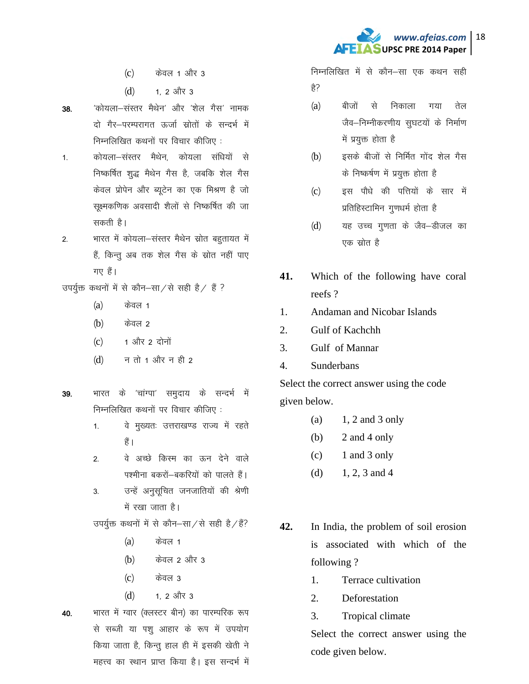

- <u>केवल 1 और 3</u>  $(c)$
- $(d)$ 1. 2 और 3
- 'कोयला—संस्तर मैथेन' और 'शेल गैस' नामक 38. दो गैर–परम्परागत ऊर्जा स्रोतों के सन्दर्भ में निम्नलिखित कथनों पर विचार कीजिए:
- कोयला-संस्तर मैथेन, कोयला संधियों से  $1.$ निष्कर्षित शुद्ध मैथेन गैस है, जबकि शेल गैस केवल प्रोपेन और ब्यूटेन का एक मिश्रण है जो सुक्ष्मकणिक अवसादी शैलों से निष्कर्षित की जा सकती है।
- भारत में कोयला-संस्तर मैथेन स्रोत बहुतायत में  $2.$ हैं, किन्तु अब तक शेल गैस के स्रोत नहीं पाए गए हैं।
- उपर्युक्त कथनों में से कौन-सा/से सही है/ हैं ?
	- केवल 1  $(a)$
	- केवल 2  $(b)$
	- 1 और 2 दोनों  $(c)$
	- न तो 1 और न ही 2  $(d)$
- भारत के 'चांग्पा' समुदाय के सन्दर्भ में 39. निम्नलिखित कथनों पर विचार कीजिए:
	- वे मुख्यतः उत्तराखण्ड राज्य में रहते  $1<sup>1</sup>$ हैं ।
	- वे अच्छे किस्म का ऊन देने वाले  $2.$ पश्मीना बकरों—बकरियों को पालते हैं।
	- उन्हें अनुसूचित जनजातियों की श्रेणी  $\overline{3}$ में रखा जाता है।

उपर्युक्त कथनों में से कौन–सा/से सही है/हैं?

- केवल 1  $(a)$
- केवल 2 और 3  $(b)$
- केवल ३  $(c)$
- $(d)$ 1 2 और 3

भारत में ग्वार (क्लस्टर बीन) का पारम्परिक रूप 40. से सब्जी या पशु आहार के रूप में उपयोग किया जाता है, किन्तू हाल ही में इसकी खेती ने

महत्त्व का स्थान प्राप्त किया है। इस सन्दर्भ में

निम्नलिखित में से कौन–सा एक कथन सही हे?

- बीजों से निकाला तेल  $(a)$ गया जैव-निम्नीकरणीय सुघटयों के निर्माण में प्रयुक्त होता है
- इसके बीजों से निर्मित गोंद शेल गैस  $(b)$ के निष्कर्षण में प्रयुक्त होता है
- इस पौधे की पत्तियों के सार में  $(c)$ प्रतिहिस्टामिन गुणधर्म होता है
- यह उच्च गुणता के जैव–डीजल का  $(d)$ एक स्रोत है
- 41. Which of the following have coral reefs?
- **Andaman and Nicobar Islands** 1.
- Gulf of Kachchh 2.
- $\overline{3}$ . Gulf of Mannar
- Sunderbans  $\overline{4}$ .

Select the correct answer using the code given below.

- $1, 2$  and  $3$  only  $(a)$
- (b) 2 and 4 only
- 1 and 3 only  $(c)$
- $(d)$ 1, 2, 3 and 4
- 42. In India, the problem of soil erosion is associated with which of the following?
	- $1<sub>1</sub>$ Terrace cultivation
	- $\overline{2}$ . Deforestation
	- $3<sub>1</sub>$ Tropical climate

Select the correct answer using the code given below.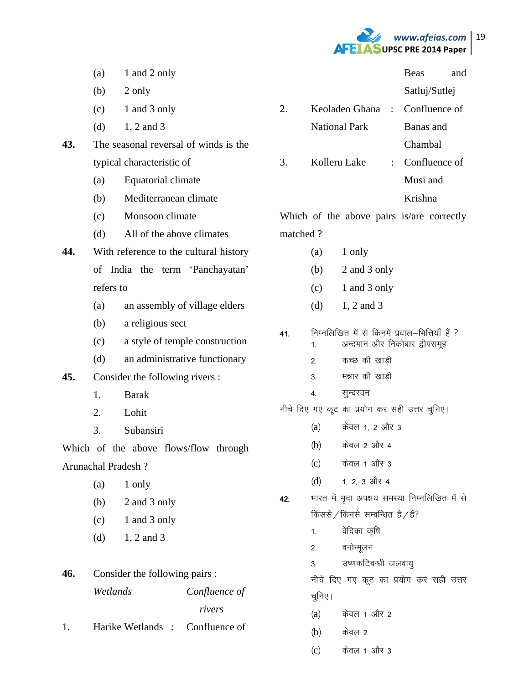

Beas and

 $(a)$  1 and 2 only

 $(b)$  2 only

- $(c)$  1 and 3 only
- (d)  $1, 2$  and 3
- **43.** The seasonal reversal of winds is the typical characteristic of
	- (a) Equatorial climate
	- (b) Mediterranean climate
	- (c) Monsoon climate
	- (d) All of the above climates
- **44.** With reference to the cultural history of India the term 'Panchayatan' refers to
	- (a) an assembly of village elders
	- (b) a religious sect
	- (c) a style of temple construction
	- (d) an administrative functionary
- **45.** Consider the following rivers :
	- 1. Barak
	- 2. Lohit
	- 3. Subansiri

Which of the above flows/flow through Arunachal Pradesh ?

- $(a)$  1 only
- (b) 2 and 3 only
- $(c)$  1 and 3 only
- (d)  $1, 2$  and 3

# **46.** Consider the following pairs : *Wetlands Confluence of rivers*

1. Harike Wetlands : Confluence of

- Satluj/Sutlej 2. Keoladeo Ghana : Confluence of National Park Banas and Chambal
- 3. Kolleru Lake : Confluence of Musi and Krishna

Which of the above pairs is/are correctly matched ?

- $(a)$  1 only
- (b) 2 and 3 only
- (c) 1 and 3 only
- (d)  $1, 2$  and 3
- $41.$  निम्नलिखित में से किनमें प्रवाल-भित्तियाँ हैं ?
	- 1. अन्दमान और निकोबार द्वीपसमूह
	- 2. कच्छ की खाडी
	- 3. मन्नार की खाडी
	- 4. सुन्दरवन

नीचे दिए गए कूट का प्रयोग कर सही उत्तर चुनिए।

- $(a)$  केवल 1, 2 और 3
- (b) केवल 2 और 4
- $(c)$  केवल 1 और 3
- $(d)$  1, 2, 3 और 4
- 42. भारत में मदा अपक्षय समस्या निम्नलिखित में से किससे / किनसे सम्बन्धित है / हैं?
	- 1. वेदिका कृषि
	- 2. वनोन्मूलन
	- 3. ज्याकटिबन्धी जलवायु

नीचे दिए गए कूट का प्रयोग कर सही उत्तर चूनिए।

- (a) केवल 1 और 2
- $(b)$  केवल 2
- $(c)$  केवल 1 और 3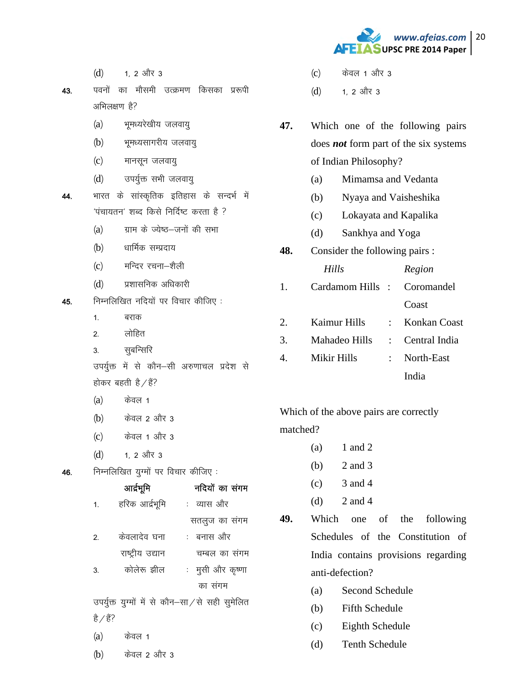

 $(d)$  1, 2 और 3

43. पवनों का मौसमी उत्क्रमण किसका प्ररूपी  $\frac{1}{\sqrt{2}}$ अभिलक्षण है?

- (a) भूमध्यरेखीय जलवायु
- (b) भूमध्यसागरीय जलवायु
- (c) मानसून जलवायु
- (d) उपर्युक्त सभी जलवायु
- 44. भारत के सांस्कृतिक इतिहास के सन्दर्भ में  $i$ पंचायतन' शब्द किसे निर्दिष्ट करता है ?
	- $(a)$  yur के ज्येष्ठ-जनों की सभा
	- (b) धार्मिक सम्प्रदाय
	- (c) मन्दिर रचना-शैली
	- (d) प्रशासनिक अधिकारी
- $45.$  निम्नलिखित नदियों पर विचार कीजिए :
	- 1. बराक
	- 2<sup>or लोहित</sup>
	- 3. सुबन्सिरि
	- उपर्युक्त में से कौन–सी अरुणाचल प्रदेश से होकर बहती है $\angle$ हैं?
	- $(a)$  केवल 1
	- $(b)$  केवल 2 और 3
	- (c) केवल 1 और 3
	- $(d)$  1, 2 और 3
- $46.$  निम्नलिखित युग्मों पर विचार कीजिए :

|                  | आर्द्रभूमि       | नदियों का संगम                                 |
|------------------|------------------|------------------------------------------------|
| 1.               | हरिक आर्द्रभूमि  | : व्यास और                                     |
|                  |                  | सतलुज का संगम                                  |
| $\overline{2}$ . | केवलादेव घना     | : बनास और                                      |
|                  | राष्ट्रीय उद्यान | चम्बल का संगम                                  |
| 3.               | कोलेरू झील       | :   मुसी और कृष्णा                             |
|                  |                  | का संगम                                        |
|                  |                  | उपर्युक्त युग्मों में से कौन-सा/से सही सुमेलित |
| है∕है?           |                  |                                                |
| (a)              | केवल 1           |                                                |
| (b)              | केवल 2 और 3      |                                                |

- (c) केवल 1 और 3
- $(d)$  1, 2 और 3
- **47.** Which one of the following pairs does *not* form part of the six systems of Indian Philosophy?
	- (a) Mimamsa and Vedanta
	- (b) Nyaya and Vaisheshika
	- (c) Lokayata and Kapalika
	- (d) Sankhya and Yoga
- **48.** Consider the following pairs :

|    | Hills                      | Region |
|----|----------------------------|--------|
| 1. | Cardamom Hills: Coromandel |        |
|    |                            | Coast  |

2. Kaimur Hills : Konkan Coast 3. Mahadeo Hills : Central India 4. Mikir Hills : North-East India

Which of the above pairs are correctly

matched?

- $(a)$  1 and 2
- (b) 2 and 3
- $(c)$  3 and 4
- (d)  $2$  and 4
- **49.** Which one of the following Schedules of the Constitution of India contains provisions regarding anti-defection?
	- (a) Second Schedule
	- (b) Fifth Schedule
	- (c) Eighth Schedule
	- (d) Tenth Schedule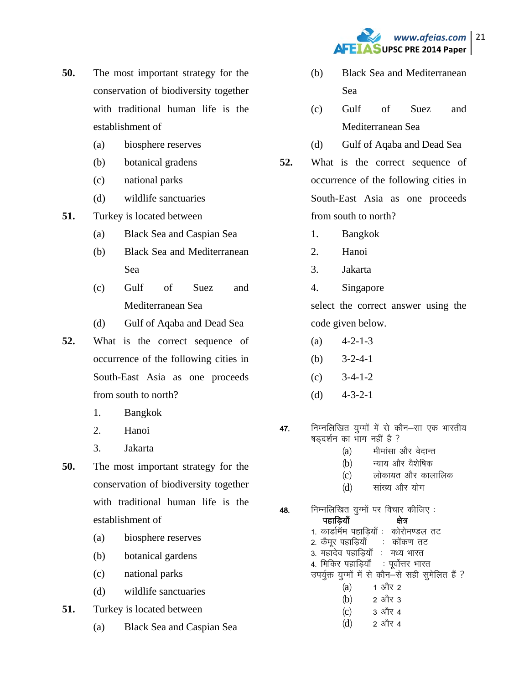

- **50.** The most important strategy for the conservation of biodiversity together with traditional human life is the establishment of
	- (a) biosphere reserves
	- (b) botanical gradens
	- (c) national parks
	- (d) wildlife sanctuaries
- **51.** Turkey is located between
	- (a) Black Sea and Caspian Sea
	- (b) Black Sea and Mediterranean Sea
	- (c) Gulf of Suez and Mediterranean Sea
	- (d) Gulf of Aqaba and Dead Sea
- **52.** What is the correct sequence of occurrence of the following cities in South-East Asia as one proceeds from south to north?
	- 1. Bangkok
	- 2. Hanoi
	- 3. Jakarta
- **50.** The most important strategy for the conservation of biodiversity together with traditional human life is the establishment of
	- (a) biosphere reserves
	- (b) botanical gardens
	- (c) national parks
	- (d) wildlife sanctuaries
- **51.** Turkey is located between
	- (a) Black Sea and Caspian Sea
- (b) Black Sea and Mediterranean Sea
- (c) Gulf of Suez and Mediterranean Sea
- (d) Gulf of Aqaba and Dead Sea
- **52.** What is the correct sequence of occurrence of the following cities in South-East Asia as one proceeds from south to north?
	- 1. Bangkok
	- 2. Hanoi
	- 3. Jakarta
	- 4. Singapore

select the correct answer using the code given below.

- $(a)$  4-2-1-3
- (b)  $3-2-4-1$
- (c) 3-4-1-2
- (d)  $4-3-2-1$
- 47. निम्नलिखित युग्मों में से कौन–सा एक भारतीय षडदर्शन का भाग नहीं है ?
	- (a) मीमांसा और वेदान्त
	- (b) न्याय और वैशेषिक
	- (c) लोकायत और कालालिक
	- (d) सांख्य और योग
- **48.** निम्नलिखित युग्मों पर विचार कीजिए :

| पहाड़ियाँ                       | ਖ਼ਗ਼                                              |
|---------------------------------|---------------------------------------------------|
|                                 | 1. कार्डामॅम पहाड़ियाँ : कोरोमण्डल तट             |
| 2. कैमूर पहाड़ियाँ : कोंकण तट   |                                                   |
| 3. महादेव पहाड़ियाँ : मध्य भारत |                                                   |
|                                 | 4. मिकिर पहाड़ियाँ : पूर्वोत्तर भारत              |
|                                 | उपर्युक्त युग्मों में से कौन-से सही सुमेलित हैं ? |
| (a)                             | 1 और 2                                            |
| (b)                             | 2 और 3                                            |
| (c)                             | 3 और 4                                            |
| (d)                             | 2 और 4                                            |
|                                 |                                                   |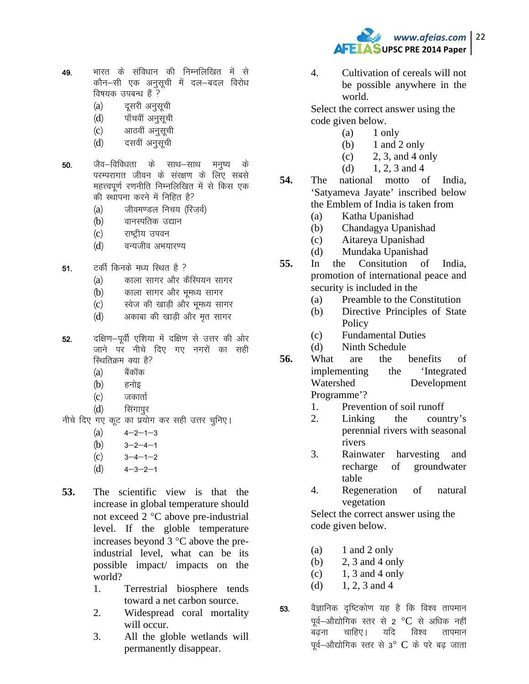

- भारत के संविधान की निम्नलिखित में से 49. कौन–सी एक अनुसूची में दल–बदल विरोध विषयक उपबन्ध हैं ?
	- दूसरी अनुसूची  $(a)$
	- पाँचवीं अनुसूची  $(d)$
	- आठवीं अनुसूची  $(c)$
	- दसवीं अनुसूची  $(d)$
- जैव–विविधता के साथ–साथ 50. मनृष्य के परम्परागत जीवन के संरक्षण के लिए सबसे महत्त्वपूर्ण रणनीति निम्नलिखित में से किस एक की स्थापना करने में निहित है?
	- जीवमण्डल निचय (रिजर्व)  $(a)$
	- $(b)$ वानस्पतिक उद्यान
	- $(c)$ राष्टीय उपवन
	- वन्यजीव अभयारण्य  $(d)$
- टकी किनके मध्य रिथत है ?  $51.$ 
	- काला सागर और कैस्पियन सागर  $(a)$
	- काला सागर और भूमध्य सागर  $(b)$
	- स्वेज की खाडी और भूमध्य सागर  $(c)$
	- अकाबा की खाडी और मृत सागर  $(d)$
- दक्षिण-पूर्वी एशिया में दक्षिण से उत्तर की ओर 52. जाने पर नीचे दिए गए नगरों का सही स्थितिक्रम क्या है?
	- $(a)$ बैकॉक
	- $(b)$ हनोइ
	- जकार्ता  $(c)$
	- $(d)$ सिंगापुर
- नीचे दिए गए कूट का प्रयोग कर सही उत्तर चुनिए।
	- $(a)$  $4 - 2 - 1 - 3$
	- $(b)$  $3 - 2 - 4 - 1$
	- $(c)$  $3 - 4 - 1 - 2$
	- $(d)$  $4 - 3 - 2 - 1$
- 53. The scientific view is that the increase in global temperature should not exceed 2 °C above pre-industrial level. If the globle temperature increases beyond 3 °C above the preindustrial level, what can be its possible impact/ impacts on the world?
	- $1<sup>1</sup>$ Terrestrial biosphere tends toward a net carbon source.
	- $2.$ Widespread coral mortality will occur.
	- $3.$ All the globle wetlands will permanently disappear.

 $\overline{4}$ . Cultivation of cereals will not be possible anywhere in the world.

Select the correct answer using the code given below.

- $(a)$ 1 only
- 1 and 2 only  $(b)$
- 2, 3, and 4 only  $(c)$
- 1. 2. 3 and 4  $(b)$
- 54. national motto of India, The 'Satvameva Jayate' inscribed below the Emblem of India is taken from
	- Katha Upanishad  $(a)$
	- Chandagya Upanishad (b)
	- $(c)$ Aitareya Upanishad
	- Mundaka Upanishad  $(d)$
- 55. Consitution of In the India. promotion of international peace and security is included in the
	- Preamble to the Constitution  $(a)$
	- Directive Principles of State (b) Policy
	- **Fundamental Duties**  $(c)$
	- Ninth Schedule  $(d)$
- 56. What are the benefits of 'Integrated implementing the Watershed Development Programme'?
	- Prevention of soil runoff  $\mathbf{1}$ .
	- 2. Linking the country's perennial rivers with seasonal rivers
	- 3. Rainwater harvesting and recharge of groundwater table
	- Regeneration 4. of natural vegetation

Select the correct answer using the code given below.

- $(a)$ 1 and 2 only
- 2, 3 and 4 only  $(b)$
- 1, 3 and 4 only  $(c)$
- 1, 2, 3 and 4  $(d)$
- वैज्ञानिक दृष्टिकोण यह है कि विश्व तापमान 53. पूर्व–औद्योगिक स्तर से 2 °C से अधिक नहीं चाहिए। यदि बढना विश्व तापमान पूर्व–औद्योगिक स्तर से 3° C के परे बढ जाता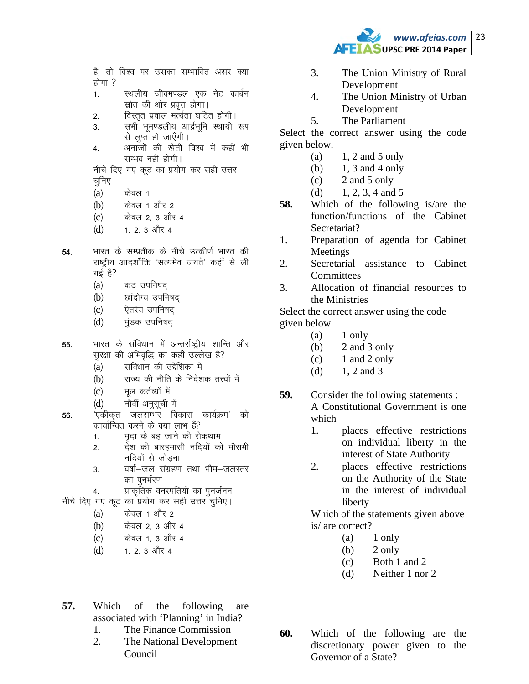

है, तो विश्व पर उसका सम्भावित असर क्या होगा ?

- $1<sup>1</sup>$ स्थलीय जीवमण्डल एक नेट कार्बन स्रोत की ओर प्रवृत्त होगा।
- विस्तृत प्रवाल मर्त्यता घटित होगी।  $2.$
- सभी भूमण्डलीय आर्द्रभूमि स्थायी रूप 3. से लुप्त हो जाएँगी।
- अनाजों की खेती विश्व में कहीं भी 4. सम्भव नहीं होगी।

नीचे दिए गए कूट का प्रयोग कर सही उत्तर चुनिए ।

- $(a)$ केवल 1
- केवल 1 और 2  $(b)$
- केवल 2, 3 और 4  $(c)$
- $(d)$ 1, 2, 3 और 4
- भारत के सम्प्रतीक के नीचे उत्कीर्ण भारत की 54. राष्ट्रीय आदर्शौक्ति 'सत्यमेव जयते' कहाँ से ली गई है?
	- $(a)$ कठ उपनिषद्
	- छांदोग्य उपनिषद  $(b)$
	- ऐतरेय उपनिषद  $(c)$
	- मंडक उपनिषद  $(d)$
- भारत के संविधान में अन्तर्राष्ट्रीय शान्ति और 55. सुरक्षा की अभिवृद्धि का कहाँ उल्लेख है?
	- संविधान की उद्देशिका में  $(a)$
	- $(b)$ राज्य की नीति के निदेशक तत्त्वों में
	- मल कर्तव्यों में  $(c)$
	- नौवीं अनुसूची में  $(d)$
- 'एकीकत जलसम्भर विकास कार्यक्रम' को 56. कार्यान्वित करने के क्या लाभ हैं?
	- मृदा के बह जाने की रोकथाम  $1.$
	- देश की बारहमासी नदियों को मौसमी  $2<sup>2</sup>$ नदियों से जोड़ना
	- वर्षा-जल संग्रहण तथा भौम-जलस्तर 3. का पुनर्भरण
		- प्राकृतिक वनस्पतियों का पुनर्जनन
- नीचे दिए गए कूट का प्रयोग कर सही उत्तर चुनिए।
	- केवल 1 और 2  $(a)$

4.

- केवल 2, 3 और 4  $(b)$
- केवल 1, 3 और 4  $(c)$
- 1, 2, 3 और 4  $(d)$
- $3<sub>1</sub>$ The Union Ministry of Rural Development
- $\overline{4}$ . The Union Ministry of Urban Development
- $5<sub>1</sub>$ The Parliament

Select the correct answer using the code given below.

- $1, 2$  and 5 only (a)
- $(b)$ 1, 3 and 4 only
- 2 and 5 only  $(c)$
- 1, 2, 3, 4 and 5  $(d)$
- 58. Which of the following is/are the function/functions of the Cabinet Secretariat?
- Preparation of agenda for Cabinet 1. Meetings
- $\overline{2}$ . Secretarial assistance to Cabinet Committees
- Allocation of financial resources to 3. the Ministries

Select the correct answer using the code given below.

- 1 only (a)
- 2 and 3 only  $(b)$
- $(c)$ 1 and 2 only
- 1, 2 and 3  $(d)$
- 59. Consider the following statements : A Constitutional Government is one which
	- $1_{-}$ places effective restrictions on individual liberty in the interest of State Authority
	- $2.$ places effective restrictions on the Authority of the State in the interest of individual liberty

Which of the statements given above is/ are correct?

- (a) 1 only
- $(b)$ 2 only
- Both 1 and 2  $(c)$
- Neither 1 nor 2  $(d)$

- 57. Which of following the are associated with 'Planning' in India?
	- The Finance Commission 1.
	- $\overline{2}$ . The National Development Council
- 60. Which of the following are the discretionaty power given to the Governor of a State?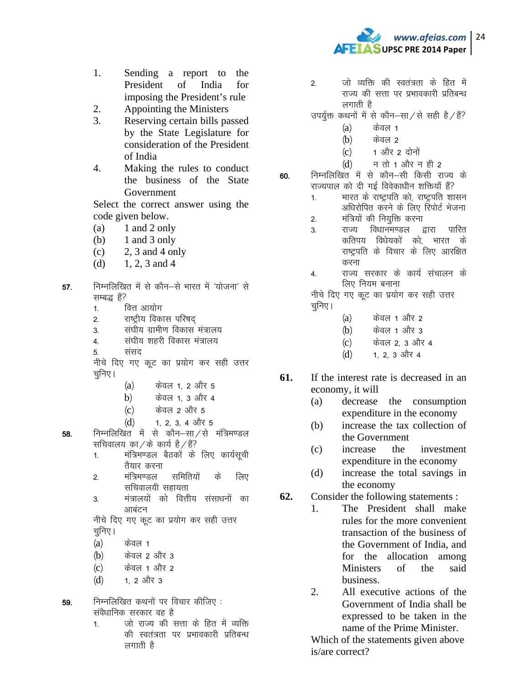

- 1. Sending a report to the President of India for imposing the President's rule
- 2. Appointing the Ministers
- 3. Reserving certain bills passed by the State Legislature for consideration of the President of India
- 4. Making the rules to conduct the business of the State Government

 Select the correct answer using the code given below.

- $(a)$  1 and 2 only
- (b)  $1$  and  $3$  only
- $(c)$  2, 3 and 4 only
- (d)  $1, 2, 3$  and 4
- 57. निम्नलिखित में से कौन–से भारत में 'योजना' से सम्बद्ध हैं?
	- 1 वित्त आयोग
	- 2. राष्ट्रीय विकास परिषद
	- 3 संघीय ग्रामीण विकास मंत्रालय
	- 4 संघीय शहरी विकास मंत्रालय
	- 5. संसद

नीचे दिए गए कूट का प्रयोग कर सही उत्तर चुनिए।

- (a) केवल 1, 2 और 5
- $b)$  केवल 1, 3 और 4
- $(c)$  केवल 2 और 5
- $(d)$  1, 2, 3, 4 और 5
- 58. निम्नलिखित में से कौन–सा $/$ से मंत्रिमण्डल सचिवालय का $\ell$ के कार्य है $\ell$ है?
	- 1. मंत्रिमण्डल बैठकों के लिए कार्यसूची तैयार करना
	- 2<sup>-</sup> मंत्रिमण्डल समितियों के लिए सचिवालयी सहायता
	- 3. मंत्रालयों को वित्तीय संसाधनों का आबंटन

नीचे दिए गए कूट का प्रयोग कर सही उत्तर चुनिए ।

- $(a)$  केवल 1
- $(b)$  केवल 2 और 3
- $(c)$  केवल 1 और 2
- $(d)$  1, 2 और 3

 $59.$  निम्नलिखित कथनों पर विचार कीजिए: संवैधानिक सरकार वह है

1. वो राज्य की सत्ता के हित में व्यक्ति की स्वतंत्रता पर प्रभावकारी प्रतिबन्ध लगाती है

- 2<sup>-</sup> जो व्यक्ति की स्वतंत्रता के हित में राज्य की सत्ता पर प्रभावकारी प्रतिबन्ध लगाती है
- उपर्युक्त कथनों में से कौन–सा $/$ से सही है $/$ हैं?
	- $(a)$  केवल 1
	- $(b)$  केवल 2
	- $(c)$  1 और 2 दोनों
	- $(d)$  न तो 1 और न ही 2

60. निम्नलिखित में से कौन-सी किसी राज्य के राज्यपाल को दी गई विवेकाधीन शक्तियाँ हैं?

- 1. भारत के राष्ट्रपति को, राष्ट्रपति शासन अधिरोपित करने के लिए रिपोर्ट भेजना
- 2. मंत्रियों की नियुक्ति करना
- <u>3. राज्य विधानमण्डल द्वारा पारित</u> कतिपय विधेयकों को, भारत के राष्ट्रपति के विचार के लिए आरक्षित करना
- 4. राज्य सरकार के कार्य संचालन के लिए नियम बनाना

नीचे दिए गए कूट का प्रयोग कर सही उत्तर चुनिए।

- $(a)$  केवल 1 और 2
- (b) केवल 1 और 3
- (c) केवल 2, 3 और 4
- $(d)$  1, 2, 3 और 4
- **61.** If the interest rate is decreased in an economy, it will
	- (a) decrease the consumption expenditure in the economy
	- (b) increase the tax collection of the Government
	- (c) increase the investment expenditure in the economy
	- (d) increase the total savings in the economy
- **62.** Consider the following statements :
	- 1. The President shall make rules for the more convenient transaction of the business of the Government of India, and for the allocation among Ministers of the said business.
		- 2. All executive actions of the Government of India shall be expressed to be taken in the name of the Prime Minister.

Which of the statements given above is/are correct?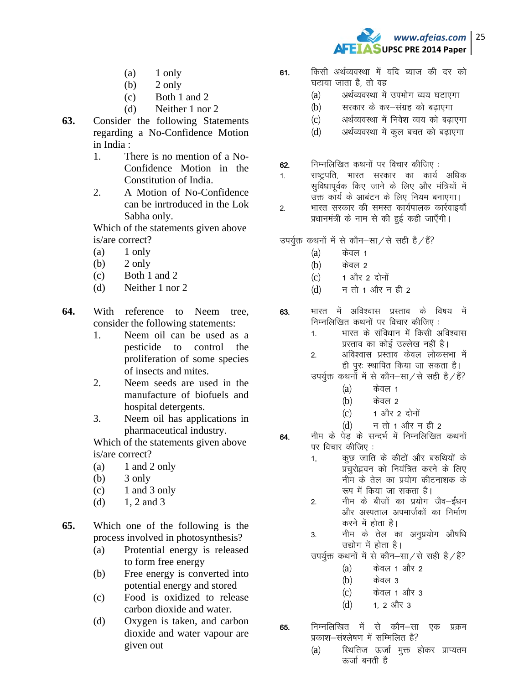

- $(a)$  1 only
- $(b)$  2 only
- (c) Both 1 and 2
- (d) Neither 1 nor 2
- **63.** Consider the following Statements regarding a No-Confidence Motion in India :
	- 1. There is no mention of a No-Confidence Motion in the Constitution of India.
	- 2. A Motion of No-Confidence can be inrtroduced in the Lok Sabha only.

Which of the statements given above is/are correct?

- $(a)$  1 only
- $(b)$  2 only
- (c) Both 1 and 2
- (d) Neither 1 nor 2
- **64.** With reference to Neem tree, consider the following statements:
	- 1. Neem oil can be used as a pesticide to control the proliferation of some species of insects and mites.
	- 2. Neem seeds are used in the manufacture of biofuels and hospital detergents.
	- 3. Neem oil has applications in pharmaceutical industry.

Which of the statements given above is/are correct?

- $(a)$  1 and 2 only
- $(b)$  3 only
- $(c)$  1 and 3 only
- (d)  $1, 2$  and 3

**65.** Which one of the following is the process involved in photosynthesis?

- (a) Protential energy is released to form free energy
- (b) Free energy is converted into potential energy and stored
- (c) Food is oxidized to release carbon dioxide and water.
- (d) Oxygen is taken, and carbon dioxide and water vapour are given out
- 61. किसी अर्थव्यवस्था में यदि ब्याज की दर को घटाया जाता है तो वह
	- (a) अर्थव्यवस्था में उपभोग व्यय घटाएगा
	- (b) सरकार के कर-संग्रह को बढाएगा
	- (c) अर्थव्यवस्था में निवेश व्यय को बढाएगा
	- (d) अर्थव्यवस्था में कुल बचत को बढाएगा
- 62.  $\overline{r}$ निम्नलिखित कथनों पर विचार कीजिए :
- 1. राष्ट्रपति, भारत सरकार का कार्य अधिक सुविधापूर्वक किए जाने के लिए और मंत्रियों में उक्त कार्य के आबंटन के लिए नियम बनाएगा।
- 2. भारत सरकार की समस्त कार्यपालक कार्रवाइयाँ प्रधानमंत्री के नाम से की हुई कही जाएँगी।

उपर्युक्त कथनों में से कौन–सा $\overline{z}$ से सही है $\overline{z}$ ें

- $(a)$  केवल 1
- $(b)$  केवल 2
- $(c)$  1 और 2 दोनों
- $(d)$  न तो 1 और न ही 2
- 63. भारत में अविश्वास प्रस्ताव के विषय में निम्नलिखित कथनों पर विचार कीजिए :
	- 1. भारत के संविधान में किसी अविश्वास प्रस्ताव का कोई उल्लेख नहीं है।
	- 2. अविश्वास प्रस्ताव केवल लोकसभा में ही पूर: स्थापित किया जा सकता है।

उपर्युक्त कथनों में से कौन–सा $\overline{a}$  सही है $\overline{a}$ ें?

- $(a)$  केवल 1
- $(b)$  केवल 2
- $(c)$  1 और 2 दोनों
- $(d)$  न तो 1 और न ही 2
- **64.** नीम के पेड के सन्दर्भ में निम्नलिखित कथनों पर विचार कीजिए:
	- 1. कुछ जाति के कीटों और बरुथियों के प्रचुरोद्भवन को नियंत्रित करने के लिए नीम के तेल का प्रयोग कीटनाशक के रूप में किया जा सकता है।
	- 2. नीम के बीजों का प्रयोग जैव–ईंधन ओर अस्पताल अपमार्जकों का निर्माण करने में होता है।
	- 3. नीम के तेल का अनुप्रयोग औषधि उद्योग में होता है।

उपर्युक्त कथनों में से कौन–सा $/$ से सही है $/$ हैं?

- $(a)$  केवल 1 और 2
- $(b)$  केवल 3
- (c) केवल 1 और 3
- $(d)$  1 2 और 3
- 65. निम्नलिखित में से कौन—सा एक प्रक्रम प्रकाश-संश्लेषण में सम्मिलित है?
	- (a) स्थितिज ऊर्जा मुक्त होकर प्राप्यतम ऊर्जा बनती है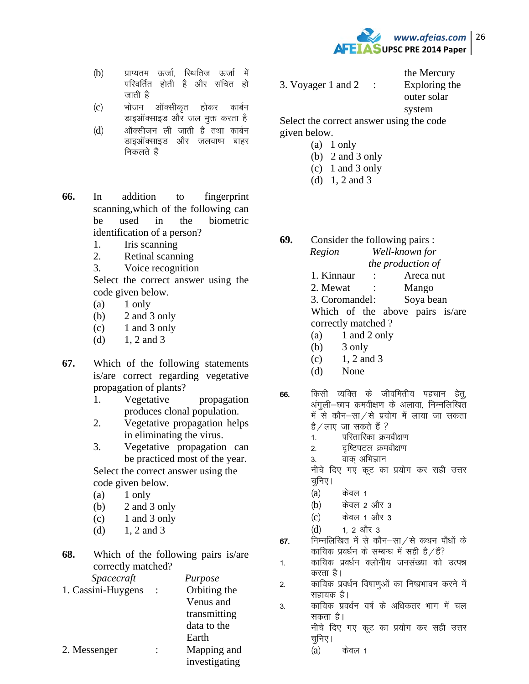

- (b) प्राप्यतम ऊर्जा, स्थितिज ऊर्जा में परिवर्तित होती है और संचित हो जाती है
- (c) भोजन ऑक्सीकृत होकर कार्बन डाइऑक्साइड और जल मूक्त करता है
- $(d)$  अॉक्सीजन ली जाती है तथा कार्बन डाइऑक्साइड और जलवाष्प बाहर निकलते हैं
- **66.** In addition to fingerprint scanning,which of the following can be used in the biometric identification of a person?
	- 1. Iris scanning
	- 2. Retinal scanning
	- 3. Voice recognition

Select the correct answer using the code given below.

- $(a)$  1 only
- (b) 2 and 3 only
- $(c)$  1 and 3 only
- (d)  $1, 2$  and 3
- **67.** Which of the following statements is/are correct regarding vegetative propagation of plants?
	- 1. Vegetative propagation produces clonal population.
	- 2. Vegetative propagation helps in eliminating the virus.
	- 3. Vegetative propagation can be practiced most of the year.

Select the correct answer using the code given below.

- $(a)$  1 only
- (b) 2 and 3 only
- $(c)$  1 and 3 only
- (d)  $1, 2$  and 3

| 68. |                    |  | Which of the following pairs is/are |  |  |
|-----|--------------------|--|-------------------------------------|--|--|
|     | correctly matched? |  |                                     |  |  |
|     | Spacecraft         |  | Purpose                             |  |  |
|     | 1. Cassini-Huygens |  | Orbiting the                        |  |  |
|     |                    |  | Venus and                           |  |  |
|     |                    |  | transmitting                        |  |  |
|     |                    |  | data to the                         |  |  |
|     |                    |  | Earth                               |  |  |
|     | 2. Messenger       |  | Mapping and                         |  |  |
|     |                    |  | investigating                       |  |  |

3. Voyager 1 and 2 : Exploring the

 the Mercury outer solar system

Select the correct answer using the code given below.

- $(a)$  1 only
- (b) 2 and 3 only
- (c) 1 and 3 only
- (d) 1, 2 and 3
- **69.** Consider the following pairs : *Region Well-known for the production of*  1. Kinnaur : Areca nut
	- 2. Mewat : Mango

3. Coromandel: Soya bean Which of the above pairs is/are correctly matched ?

- $(a)$  1 and 2 only
- $(b)$  3 only
- $(c)$  1, 2 and 3
- (d) None
- 66. किसी व्यक्ति के जीवमितीय पहचान हेतू, अंगली-छाप क्रमवीक्षण के अलावा, निम्नलिखित में से कौन–सा⁄से प्रयोग में लाया जा सकता है / लाए) जा सकते हैं ?
	- 1. परितारिका क्रमवीक्षण
	- 2. वृष्टिपटल क्रमवीक्षण
	- 3. वाक् अभिज्ञान

नीचे दिए गए कूट का प्रयोग कर सही उत्तर चुनिए।

- $(a)$  केवल 1
- (b) केवल 2 और 3
- $(c)$  केवल 1 और 3
- $(d)$  1, 2 और 3
- 67. निम्नलिखित में से कौन-सा $\overline{A}$ से कथन पौधों के कायिक प्रवर्धन के सम्बन्ध में सही है $\angle$ हैं?
- 1. कायिक प्रवर्धन क्लोनीय जनसंख्या को उत्पन्न करता है।
- 2. कायिक प्रवर्धन विषाणुओं का निष्प्रभावन करने में सहायक है।
- 3. कायिक प्रवर्धन वर्ष के अधिकतर भाग में चल सकता है।

नीचे दिए गए कूट का प्रयोग कर सही उत्तर चूनिए ।

 $(a)$  केवल 1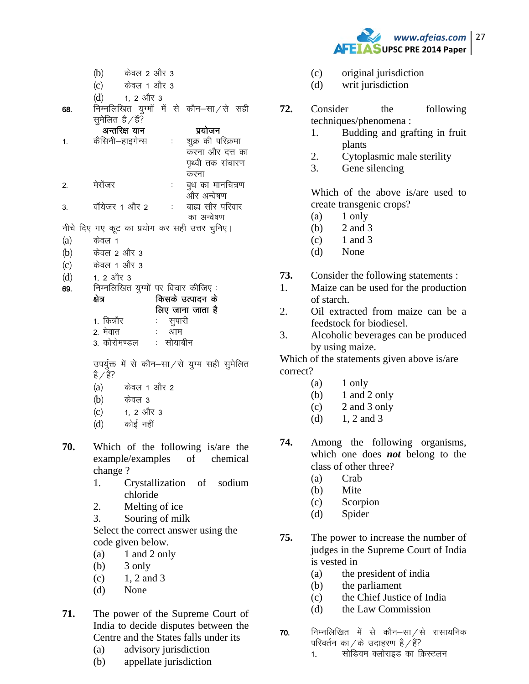*www.afeias.com* 27 **AFEIASUPSC PRE 2014 Paper** 

- $(b)$  केवल 2 और 3
- (c) केवल 1 और 3
- $(d)$  1, 2 और 3
- 68. निम्नलिखित युग्मों में से कौन $-\text{H}/\text{H}$  सही सुमेलित है $/$ हैं? $\overline{\phantom{a}}$

|                | अन्तरिक्ष यान                                 | प्रयोजन           |
|----------------|-----------------------------------------------|-------------------|
| $\mathbf{1}$ . | कैसिनी–हाइगेन्स                               | शुक्र की परिक्रमा |
|                |                                               | करना और दत्त का   |
|                |                                               | पृथ्वी तक संचारण  |
|                |                                               | करना              |
| 2.             | मेसेजर                                        | बुध का मानचित्रण  |
|                |                                               | और अन्वेषण        |
| 3.             | वॉयेजर 1 और 2                                 | बाह्य सौर परिवार  |
|                |                                               | का अन्वेषण        |
|                | नीचे दिए गए कूट का प्रयोग कर सही उत्तर चुनिए। |                   |

- $(a)$  केवल 1
- (b) केवल 2 और 3
- (c) केवल 1 और 3
- 
- $(d)$  1, 2 और 3
- 69- fuEufyf[kr ;qXeksa ij fopkj dhft, %

| क्षेत्र    | किसके उत्पादन के |
|------------|------------------|
|            | लिए जाना जाता है |
| 1. किन्नौर | सुपारी           |
| 2. मेवात   |                  |

3 कोरोमण्डल : सोयाबीन

उपर्युक्त में से कौन-सा/से युग्म सही सुमेलित है / हैं?

- $(a)$  केवल 1 और 2
- $(b)$  केवल 3
- $(c)$  1, 2 और 3
- $(d)$   $\phi$  कोई नहीं
- **70.** Which of the following is/are the example/examples of chemical change ?
	- 1. Crystallization of sodium chloride
	- 2. Melting of ice
	- 3. Souring of milk

Select the correct answer using the code given below.

- $(a)$  1 and 2 only
- $(b)$  3 only
- $(c)$  1, 2 and 3
- (d) None
- **71.** The power of the Supreme Court of India to decide disputes between the Centre and the States falls under its
	- (a) advisory jurisdiction
	- (b) appellate jurisdiction
- (c) original jurisdiction
- (d) writ jurisdiction
- **72.** Consider the following techniques/phenomena :
	- 1. Budding and grafting in fruit plants
	- 2. Cytoplasmic male sterility
	- 3. Gene silencing

Which of the above is/are used to create transgenic crops?

- $(a)$  1 only
- (b) 2 and 3
- $(c)$  1 and 3
- (d) None
- **73.** Consider the following statements :
- 1. Maize can be used for the production of starch.
- 2. Oil extracted from maize can be a feedstock for biodiesel.
- 3. Alcoholic beverages can be produced by using maize.

Which of the statements given above is/are correct?

- $(a)$  1 only
- $(b)$  1 and 2 only
- $(c)$  2 and 3 only
- (d)  $1, 2$  and 3
- **74.** Among the following organisms, which one does *not* belong to the class of other three?
	- (a) Crab
	- (b) Mite
	- (c) Scorpion
	- (d) Spider
- **75.** The power to increase the number of judges in the Supreme Court of India is vested in
	- (a) the president of india
	- (b) the parliament
	- (c) the Chief Justice of India
	- (d) the Law Commission
- 70. निम्नलिखित में से कौन–सा $\neq$ से रासायनिक परिवर्तन का / के उदाहरण है / है?

1. सोडियम क्लोराइड का क्रिस्टलन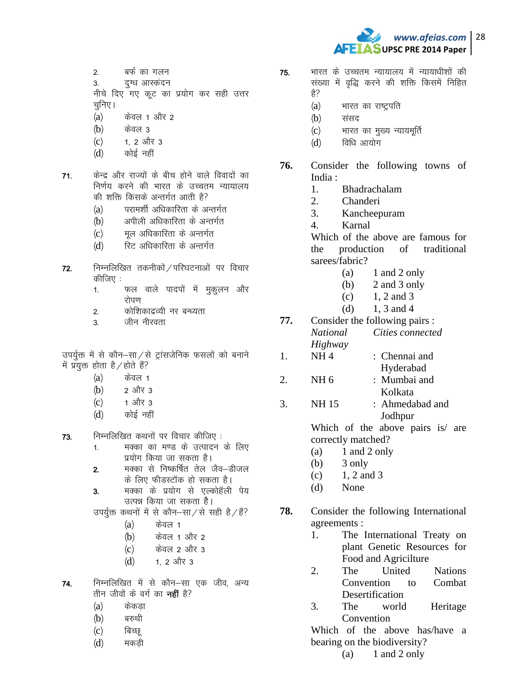

- बर्फ का गलन  $2.$
- दग्ध आस्कंदन 3.

नीचे दिए गए कूट का प्रयोग कर सही उत्तर चुनिए ।

- $(a)$ केवल 1 और 2
- $(b)$ केवल ३
- 1. 2 और 3  $(c)$
- कोई नहीं  $(d)$
- केन्द्र और राज्यों के बीच होने वाले विवादों का  $71.$ निर्णय करने की भारत के उच्चतम न्यायालय की शक्ति किसके अन्तर्गत आती है?
	- परामर्शी अधिकारिता के अन्तर्गत  $(a)$
	- अपीली अधिकारिता के अन्तर्गत  $(b)$
	- मूल अधिकारिता के अन्तर्गत  $(c)$
	- रिट अधिकारिता के अन्तर्गत  $(d)$
- निम्नलिखित तकनीकों / परिघटनाओं पर विचार  $72.$ कीजिए :
	- फल वाले पादपों में मुकुलन और  $1<sub>1</sub>$ रोपण
	- कोशिकाद्रव्यी नर बन्ध्यता  $2.$
	- $\overline{3}$ जीन नीरवता

उपर्युक्त में से कौन–सा⁄से ट्रांसजेनिक फसलों को बनाने में प्रयुक्त होता है / होते हैं?

- $(a)$ केवल 1
- $(b)$ 2 और 3
- 1 और 3  $(c)$
- $(d)$ कोई नहीं

73. निम्नलिखित कथनों पर विचार कीजिए:

- मक्का का मण्ड के उत्पादन के लिए  $1<sup>1</sup>$ प्रयोग किया जा सकता है।
- मक्का से निष्कर्षित तेल जैव–डीजल  $2.$ के लिए फीडस्टॉक हो सकता है।
- मक्का के प्रयोग से एल्कोहॅली पेय  $3<sub>1</sub>$ उत्पन्न किया जा सकता है।

उपर्युक्त कथनों में से कौन–सा/से सही है/हैं?

- $(a)$ केवल 1
- केवल 1 और 2  $(b)$
- केवल 2 और 3  $(c)$
- $(d)$ 1. 2 और 3
- 74. निम्नलिखित में से कौन–सा एक जीव, अन्य तीन जीवों के वर्ग का **नहीं** है?
	- केकडा  $(a)$
	- $(b)$ बरुथी
	- $(c)$ बिच्छ्
	- $(d)$ मकडी
- भारत के उच्चतम न्यायालय में न्यायाधीशों की 75. संख्या में वृद्धि करने की शक्ति किसमें निहित है?
	- $(a)$ भारत का राष्ट्रपति
	- $(b)$ संसद
	- भारत का मुख्य न्यायमूर्ति  $(c)$
	- विधि आयोग  $(d)$
- 76. Consider the following towns of India:
	- $\mathbf{1}$ . Bhadrachalam
	- $2.$ Chanderi
	- $\mathcal{R}$ Kancheepuram
	- $\overline{4}$ . Karnal

Which of the above are famous for the production of traditional sarees/fabric?

- $(a)$ 1 and 2 only
- $(b)$ 2 and 3 only
- 1. 2 and 3  $(c)$
- $(d)$ 1, 3 and 4

77. Consider the following pairs : **National** Cities connected Highway

- 1.  $NH<sub>4</sub>$ : Chennai and Hyderabad
- $\overline{2}$ .  $NH<sub>6</sub>$ : Mumbai and Kolkata
- 3. **NH15** : Ahmedabad and Jodhpur

Which of the above pairs is are correctly matched?

- 1 and 2 only  $(a)$
- (b) 3 only
- 1, 2 and 3  $(c)$
- None (d)
- 78. Consider the following International agreements :
	- 1. The International Treaty on plant Genetic Resources for Food and Agricilture
	- $2.$ **The** United **Nations** Convention  $\mathsf{to}$ Combat Desertification
	- 3. The world Heritage Convention

Which of the above has/have a bearing on the biodiversity?

> $(a)$ 1 and 2 only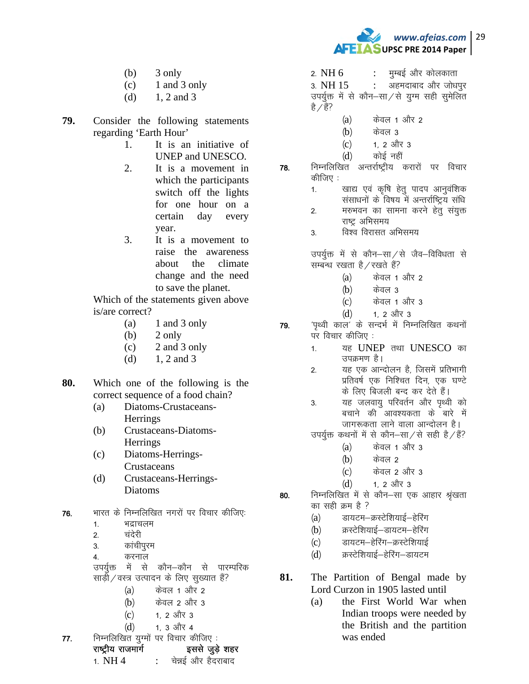

- $(b)$  3 only
- $(c)$  1 and 3 only
- (d)  $1, 2$  and 3
- **79.** Consider the following statements regarding 'Earth Hour'
	- 1. It is an initiative of UNEP and UNESCO.
	- 2. It is a movement in which the participants switch off the lights for one hour on a certain day every year.
	- 3. It is a movement to raise the awareness about the climate change and the need to save the planet.

Which of the statements given above is/are correct?

- (a)  $1$  and 3 only
- $(b)$  2 only
- $(c)$  2 and 3 only
- (d)  $1, 2$  and 3

**80.** Which one of the following is the correct sequence of a food chain?

- (a) Diatoms-Crustaceans-Herrings
- (b) Crustaceans-Diatoms-**Herrings**
- (c) Diatoms-Herrings-Crustaceans
- (d) Crustaceans-Herrings-Diatoms
- 76. भारत के निम्नलिखित नगरों पर विचार कीजिए:
	- 1. भद्राचलम
	- 2. चंदेरी
	- 3. कांचीपुरम
	- 4. करनाल
	- उपर्युक्त में से कौन—कौन से पारम्परिक
	- साड़ी/वस्त्र उत्पादन के लिए सुख्यात हैं?
		- $(a)$  केवल 1 और 2
		- $(b)$  केवल 2 और 3

jk"Vªh; jktekxZ blls tqM+s 'kgj 1.  $NH 4$  : चेन्नई और हैदराबाद

- $(c)$  1, 2 और 3
- $(d)$  1. 3 और 4  $77.$  निम्नलिखित युग्मों पर विचार कीजिए :

2.  $NH 6$ : मुम्बई और कोलकाता

 $3. \; \text{NH} \; 15 \; \text{S}$  : अहमदाबाद और जोधपूर उपर्युक्त में से कौन–सा $\angle$ से युग्म सही सुमेलित है / हैं?

- $(a)$  केवल 1 और 2
- $(h)$  केवल 3
- $(c)$  1, 2 और 3
- (d) कोई नहीं
- $78.$  निम्नलिखित अन्तर्राष्ट्रीय करारों पर विचार कीजिए $\,$ :
	- 1. स्वाद्य एवं कृषि हेतु पादप आनुवंशिक
	- ससाधनों के विषय में अन्तर्राष्ट्रिय संधि
	- 2. मरुभवन का सामना करने हेतु संयुक्त राष्ट्र अभिसमय
	- 3. विश्व विरासत अभिसमय

उपर्युक्त में से कौन-सा $\overline{z}$ से जैव-विविधता से सम्बन्ध रखता है/रखते हैं?

- $(a)$  केवल 1 और 2
- $(b)$  केवल 3
- $(c)$  केवल 1 और 3
- $(d)$  1, 2 और 3

79. 'पृथ्वी काल' के सन्दर्भ में निम्नलिखित कथनों पर विचार कीजिए :

- 1. यह UNEP तथा UNESCO का उपक्रमण है।
- 2. यह एक आन्दोलन है, जिसमें प्रतिभागी प्रतिवर्ष एक निश्चित दिन, एक घण्टे के लिए बिजली बन्द कर देते हैं।
- 3. यह जलवायु परिवर्तन और पृथ्वी को बचाने की आवश्यकता के बारे में जागरूकता लाने वाला आन्दोलन है।
- उपर्युक्त कथनों में से कौन–सा $\ell$ से सही है $\ell$ हैं?
	- $(a)$  केवल 1 और 3
	- $(h)$  केवल 2
	- $(c)$  केवल 2 और 3
	- $(d)$  1, 2 और 3
- 80. निम्नलिखित में से कौन–सा एक आहार श्रृंखता का सही क्रम है ?
	- (a) डायटम-क्रस्टेशियाई-हेरिंग
	- (b) क्रस्टेशियाई–डायटम–हेरिंग
	- (c) डायटम-हेरिंग-क्रस्टेशियाई
	- (d) क्रस्टेशियाई-हेरिंग-डायटम
- **81.** The Partition of Bengal made by Lord Curzon in 1905 lasted until
	- (a) the First World War when Indian troops were needed by the British and the partition was ended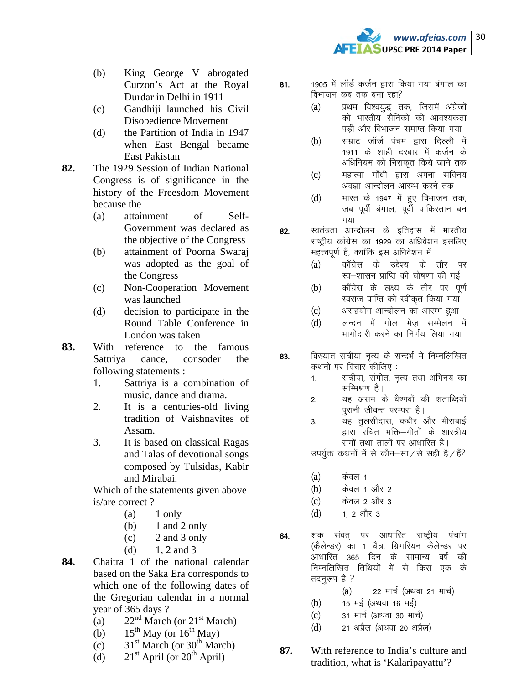

- (b) King George V abrogated Curzon's Act at the Royal Durdar in Delhi in 1911
- (c) Gandhiji launched his Civil Disobedience Movement
- (d) the Partition of India in 1947 when East Bengal became East Pakistan
- **82.** The 1929 Session of Indian National Congress is of significance in the history of the Freesdom Movement because the
	- (a) attainment of Self-Government was declared as the objective of the Congress
	- (b) attainment of Poorna Swaraj was adopted as the goal of the Congress
	- (c) Non-Cooperation Movement was launched
	- (d) decision to participate in the Round Table Conference in London was taken
- **83.** With reference to the famous Sattriya dance, consoder the following statements :
	- 1. Sattriya is a combination of music, dance and drama.
	- 2. It is a centuries-old living tradition of Vaishnavites of Assam.
	- 3. It is based on classical Ragas and Talas of devotional songs composed by Tulsidas, Kabir and Mirabai.

Which of the statements given above is/are correct ?

- $(a)$  1 only
- (b)  $1$  and  $2$  only
- $(c)$  2 and 3 only
- (d)  $1, 2$  and 3
- **84.** Chaitra 1 of the national calendar based on the Saka Era corresponds to which one of the following dates of the Gregorian calendar in a normal year of 365 days ?
	- (a)  $22<sup>nd</sup> March (or  $21<sup>st</sup> March)$$
	- (b)  $15^{th}$  May (or  $16^{th}$  May)
	- (c)  $31<sup>st</sup> March (or 30<sup>th</sup> March)$
	- (d)  $21<sup>st</sup>$  April (or  $20<sup>th</sup>$  April)
- 81. 1905 में लॉर्ड कर्जन द्वारा किया गया बंगाल का विभाजन कब तक बना रहा?
	- (a) प्रथम विश्वयुद्ध तक, जिसमें अंग्रेजों को भारतीय सैनिकों की आवश्यकता पड़ी और विभाजन समाप्त किया गया
	- (b) सम्राट जॉर्ज पंचम द्वारा दिल्ली में 1911 के शाही दरबार में कर्जन के अधिनियम को निराकृत किये जाने तक
	- (c) महात्मा गाँधी द्वारा अपना सविनय अवज्ञा आन्दोलन आरम्भ करने तक
	- $(d)$  भारत के 1947 में हुए विभाजन तक, जब पूर्वी बंगाल, पूर्वी पाकिस्तान बन गया
- 82. स्वतंत्रता आन्दोलन के इतिहास में भारतीय राष्ट्रीय काँग्रेस का 1929 का अधिवेशन इसलिए महत्त्वपूर्ण है, क्योंकि इस अधिवेशन में
	- (a) काँग्रेस के उद्देश्य के तौर पर स्व–शासन प्राप्ति की घोषणा की गई
	- (b) काँग्रेस के लक्ष्य के तौर पर पूर्ण स्वराज प्राप्ति को स्वीकृत किया गया
	- (c) असहयोग आन्दोलन का आरम्भ हुआ
	- (d) लन्दन में गोल मेज सम्मेलन में भागीदारी करने का निर्णय लिया गया
- 83. विख्यात सत्रीया नृत्य के सन्दर्भ में निम्नलिखित कथनों पर विचार कीजिए:
	- 1. सत्रीया, संगीत, नृत्य तथा अभिनय का सम्मिश्रण है।
	- 2. यह असम के वैष्णवों की शताब्दियों परानी जीवन्त परम्परा है।
	- 3. यह तूलसीदास, कबीर और मीराबाई द्वारा रचित भक्ति—गीतों के शास्त्रीय रागों तथा तालों पर आधारित है।

उपर्युक्त कथनों में से कौन–सा $\ell$ से सही है $\ell$ हैं?

- $(a)$  केवल 1
- (b) केवल 1 और 2
- $(c)$  केवल 2 और 3
- $(d)$  1. 2 और 3
- 84. शक संवत पर आधारित राष्ट्रीय पंचांग (कैलेन्डर) का 1 चैत्र, ग्रिगरियन कैलेन्डर पर आधारित 365 दिन के सामान्य वर्ष की निम्नलिखित तिथियों में से किस एक के तदनुरूप है ?
	- $(a)$  22 मार्च (अथवा 21 मार्च)
	- $(b)$  15 मई (अथवा 16 मई)
	- (c) 31 मार्च (अथवा 30 मार्च)
	- $(d)$  21 अप्रैल (अथवा 20 अप्रैल)
- **87.** With reference to India's culture and tradition, what is 'Kalaripayattu'?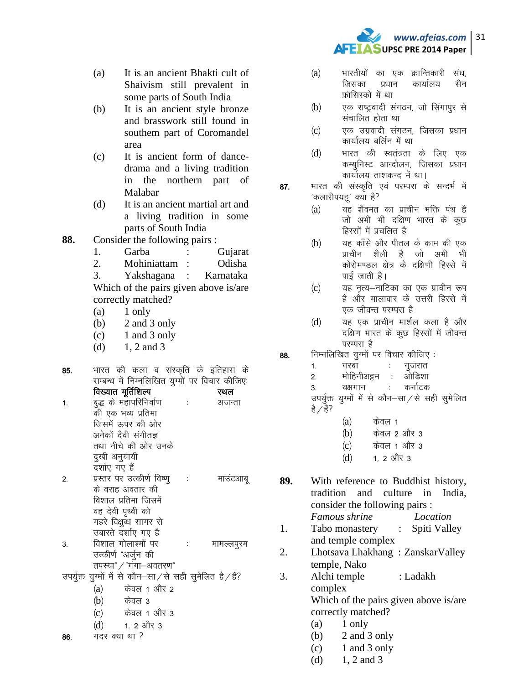

- $(a)$ It is an ancient Bhakti cult of Shaivism still prevalent in some parts of South India
- $(b)$ It is an ancient style bronze and brasswork still found in southem part of Coromandel area
- $(c)$ It is ancient form of dancedrama and a living tradition in the northern part of Malabar
- $(d)$ It is an ancient martial art and a living tradition in some parts of South India
- 88. Consider the following pairs :
	- $1<sub>1</sub>$ Garba  $\cdot$ Gujarat
	- $\overline{2}$ . Mohiniattam : Odisha
	- 3. Yakshagana Karnataka  $\therefore$ Which of the pairs given above is/are correctly matched?
	- 1 only (a)
	- $(b)$ 2 and 3 only
	- $(c)$ 1 and 3 only
	- 1, 2 and 3  $(d)$
- भारत की कला व संस्कृति के इतिहास के 85. सम्बन्ध में निम्नलिखित युग्मों पर विचार कीजिए. विख्यात मूर्तिशिल्प स्थल बुद्ध के महापरिनिर्वाण  $\ddot{\cdot}$ अजन्ता  $1.$ की एक भव्य प्रतिमा जिसमें ऊपर की ओर अनेकों दैवी संगीतज्ञ तथा नीचे की ओर उनके दुखी अनुयायी दर्शाए गए हैं प्रस्तर पर उत्कीर्ण विष्णु  $2.$ ÷ माउंटआबू के वराह अवतार की विशाल प्रतिमा जिसमें वह देवी पृथ्वी को गहरे विक्षुब्ध सागर से उबारते दर्शाए गए है
- विशाल गोलाश्मों पर  $\ddot{\phantom{a}}$ 3. मामल्लपूरम उत्कीर्ण "अर्जुन की तपस्या" / "गंगा-अवतरण"
- उपर्युक्त युग्मों में से कौन-सा/से सही सुमेलित है/हैं?
	- केवल 1 और 2  $(a)$
	- केवल 3  $(b)$
	- केवल 1 और 3  $(c)$
	- $(d)$ 1. 2 और 3
- गदर क्या था ? 86.
- भारतीयों का एक क्रान्तिकारी संघ  $(a)$ जिसका प्रधान कार्यालय सैन फ्रांसिस्को में था
- एक राष्ट्रवादी संगठन, जो सिंगापुर से  $(b)$ संचालित होता था
- एक उग्रवादी संगतन जिसका प्रधान  $(c)$ कार्यालय बर्लिन में था
- भारत की स्वतंत्रता के लिए एक  $(d)$ कम्युनिस्ट आन्दोलन, जिसका प्रधान कार्यालय ताशकन्द में था।
- भारत की संस्कृति एवं परम्परा के सन्दर्भ मे 87. 'कलारीपयद्दू' क्या है?
	- $(a)$ यह शैवमत का प्राचीन भक्ति पंथ है जो अभी भी दक्षिण भारत के कूछ हिस्सों में प्रचलित है
	- यह काँसे और पीतल के काम की एक  $(b)$ प्राचीन शैली है जो अभी भी कोरोमण्डल क्षेत्र के दक्षिणी हिस्से में पाई जाती है।
	- यह नृत्य–नाटिका का एक प्राचीन रूप  $(c)$ है और मालावार के उत्तरी हिस्से में एक जीवन्त परम्परा है
	- $(d)$ यह एक प्राचीन मार्शल कला है और दक्षिण भारत के कुछ हिस्सों में जीवन्त परम्परा है
- निम्नलिखित युग्मों पर विचार कीजिए: 88.
	- $1<sup>1</sup>$ गरबा गुजरात
	- मोहिनीअट्टम ओडिशा  $2.$  $\sim$
	- कर्नाटक 3. यक्षगान

उपर्युक्त युग्मों में से कौन-सा/से सही सुमेलित है / हैं?

- $(a)$ केवल 1
- $(b)$ केवल 2 और 3
- केवल 1 और 3  $(c)$
- $(d)$ 1. 2 और 3

89. With reference to Buddhist history, tradition and culture in India, consider the following pairs : Famous shrine Location

- $1<sub>1</sub>$ Tabo monastery Spiti Valley  $\mathbb{R}^{\mathbb{Z}}$ and temple complex
- Lhotsava Lhakhang: ZanskarValley 2. temple, Nako
- 3. Alchi temple : Ladakh complex Which of the pairs given above is/are correctly matched?
	- $(a)$ 1 only
	- (b) 2 and 3 only
	- 1 and 3 only  $(c)$
	- 1, 2 and 3  $(d)$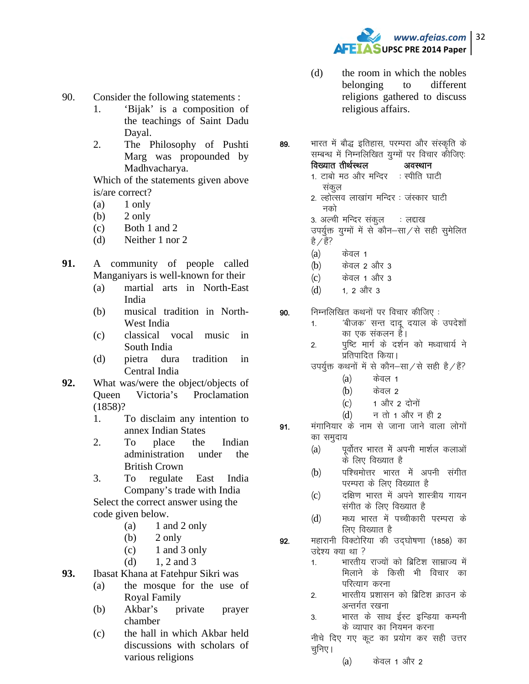

- 90. Consider the following statements :
	- 1. 'Bijak' is a composition of the teachings of Saint Dadu Dayal.
	- 2. The Philosophy of Pushti Marg was propounded by Madhvacharya.

Which of the statements given above is/are correct?

- $(a)$  1 only
- $(b)$  2 only
- (c) Both 1 and 2
- (d) Neither 1 nor 2
- **91.** A community of people called Manganiyars is well-known for their
	- (a) martial arts in North-East India
	- (b) musical tradition in North-West India
	- (c) classical vocal music in South India
	- (d) pietra dura tradition in Central India
- **92.** What was/were the object/objects of Queen Victoria's Proclamation (1858)?
	- 1. To disclaim any intention to annex Indian States
	- 2. To place the Indian administration under the British Crown
	- 3. To regulate East India Company's trade with India

Select the correct answer using the code given below.

- (a)  $1$  and  $2$  only
- $(b)$  2 only
- $(c)$  1 and 3 only
- (d)  $1, 2$  and 3
- **93.** Ibasat Khana at Fatehpur Sikri was
	- (a) the mosque for the use of Royal Family
	- (b) Akbar's private prayer chamber
	- (c) the hall in which Akbar held discussions with scholars of various religions
- (d) the room in which the nobles belonging to different religions gathered to discuss religious affairs.
- 89. भारत में बौद्ध इतिहास, परम्परा और संस्कृति के सम्बन्ध में निम्नलिखित युग्मों पर विचार कौजिए: विख्यात तीर्थस्थल अवस्थान 1. टाबो मठ और मन्दिर : स्पीति घाटी
	- संकल
	- 2. ल्होत्सव लाखांग मन्दिर : जस्कार घाटी नको
	- 3. अल्वी मन्दिर संकल काल हाख
		- उपर्युक्त युग्मों में से कौन–सा⁄से सही सुमेलित है $\sqrt{\xi}$ ?
		- $(a)$  केवल 1
		- $(b)$  केवल 2 और 3
		- (c) केवल 1 और 3
		- $(d)$  1, 2 और 3
- **90.** निम्नलिखित कथनों पर विचार कीजिए :
	- 1. 'बीजक' सन्त दादू दयाल के उपदेशों का एक संकलन हैं।
	- 2. पृष्टि मार्ग के दर्शन को मध्वाचार्य ने प्रतिपादित किया।
	- उपर्युक्त कथनों में से कौन–सा $/$ से सही है $/$ हैं?
		- $(a)$  केवल 1
		- $(b)$  केवल 2
		- $(c)$  1 और 2 दोनों
		- $(d)$  न तो 1 और न ही 2
- 91. मंगानियार के नाम से जाना जाने वाला लोगों का समुदाय
	- (a) पूर्वोतर भारत में अपनी मार्शल कलाओं के लिए विख्यात है
	- (b) पश्चिमोत्तर भारत में अपनी संगीत परम्परा के लिए विख्यात है
	- (c) वक्षिण भारत में अपने शास्त्रीय गायन संगीत के लिए विख्यात है
	- (d) मध्य भारत में पच्चीकारी परम्परा के लिए विख्यात है
- 92. महारानी विक्टोरिया की उद्घोषणा (1858) का उद्देश्य क्या था ?
	- 1. भारतीय राज्यों को ब्रिटिश साम्राज्य में मिलाने के किसी भी विचार का परित्याग करना
	- 2. भारतीय प्रशासन को ब्रिटिश क्राउन के अन्तर्गत रखना
	- 3. भारत के साथ ईस्ट इन्डिया कम्पनी के व्यापार का नियमन करना

नीचे दिए गए कूट का प्रयोग कर सही उत्तर चुनिए।

 $(a)$  केवल 1 और 2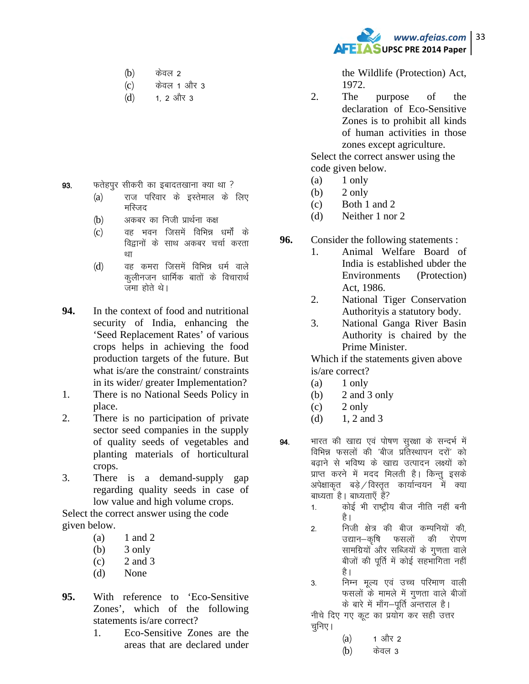- $(b)$  केवल 2
- (c) केवल 1 और 3
- $(d)$  1, 2 और 3

- 93. फतेहपुर सीकरी का इबादतखाना क्या था ?
	- (a) राज परिवार के इस्तेमाल के लिए मस्जिद
	- $(b)$  अकबर का निजी प्रार्थना कक्ष
	- (c) वह भवन जिसमें विभिन्न धर्मों के विद्वानों के साथ अकबर चर्चा करता था
	- (d) वह कमरा जिसमें विभिन्न धर्म वाले कुलीनजन धार्मिक बातों के विचारार्थ जमा होते थे।
- **94.** In the context of food and nutritional security of India, enhancing the 'Seed Replacement Rates' of various crops helps in achieving the food production targets of the future. But what is/are the constraint/ constraints in its wider/ greater Implementation?
- 1. There is no National Seeds Policy in place.
- 2. There is no participation of private sector seed companies in the supply of quality seeds of vegetables and planting materials of horticultural crops.
- 3. There is a demand-supply gap regarding quality seeds in case of low value and high volume crops.

Select the correct answer using the code given below.

- $(a)$  1 and 2
- $(b)$  3 only
- $(c)$  2 and 3
- (d) None
- **95.** With reference to 'Eco-Sensitive Zones', which of the following statements is/are correct?
	- 1. Eco-Sensitive Zones are the areas that are declared under



the Wildlife (Protection) Act, 1972.

2. The purpose of the declaration of Eco-Sensitive Zones is to prohibit all kinds of human activities in those zones except agriculture.

Select the correct answer using the code given below.

- $(a)$  1 only
- (b)  $2 \text{ only}$
- (c) Both 1 and 2
- (d) Neither 1 nor 2
- **96.** Consider the following statements :
	- 1. Animal Welfare Board of India is established ubder the Environments (Protection) Act, 1986.
	- 2. National Tiger Conservation Authorityis a statutory body.
	- 3. National Ganga River Basin Authority is chaired by the Prime Minister.

Which if the statements given above is/are correct?

- $(a)$  1 only
- (b)  $2$  and  $3$  only
- $(c)$  2 only
- (d)  $1, 2$  and 3
- 94. भारत की खाद्य एवं पोषण सुरक्षा के सन्दर्भ में विभिन्न फसलों की 'बीज प्रतिस्थापन दरों' को बढ़ाने से भविष्य के खाद्य उत्पादन लक्ष्यों को प्राप्त करने में मदद मिलती है। किन्तु इसके अपेक्षाकृत बड़े $\sqrt{a}$ रतूत कार्यान्वयन में क्या बाध्यता है। बाध्यताएँ हैं?
	- 1. कोई भी राष्ट्रीय बीज नीति नहीं बनी है।
	- 2. निजी क्षेत्र की बीज कम्पनियों की, उद्यान–कृषि फसलों की रोपण सामग्रियों और सब्जियों के गुणता वाले बीजों की पूर्ति में कोई सहभागिता नहीं है।
	- 3. निम्न मूल्य एवं उच्च परिमाण वाली फसलों के मामले में गूणता वाले बीजों के बारे में माँग–पूर्ति अन्तराल है।

नीचे दिए गए कूट का प्रयोग कर सही उत्तर चुनिए।

- $(a)$  1 और 2
- $(b)$  केवल 3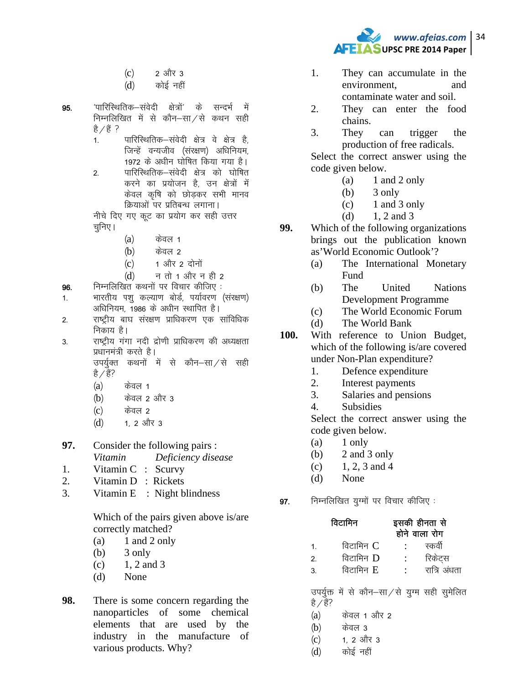- $(c)$  2 और 3
- $(d)$   $\phi$ कोई नहीं
- 95- ^ikfjfLFkfrd&laosnh {ks=ksa^ ds lUnHkZ esa निम्नलिखित में से कौन–सा $\chi$ से कथन सही है / हैं ?
	- 1. पारिस्थितिक–संवेदी क्षेत्र वे क्षेत्र है. जिन्हें वन्यजीव (संरक्षण) अधिनियम, 1972 के अधीन घोषित किया गया है।
	- 2. पारिस्थितिक–संवेदी क्षेत्र को घोषित करने का प्रयोजन है, उन क्षेत्रों में केवल कृषि को छोडकर सभी मानव क्रियाओं पर प्रतिबन्ध लगाना।

नीचे दिए गए कूट का प्रयोग कर सही उत्तर चनिए ।

- $(a)$  केवल 1
- $(b)$  केवल 2
- $(c)$  1 और 2 दोनों
- $(d)$  न तो 1 और न ही 2

 $96.$  निम्नलिखित कथनों पर विचार कीजिए :

- 1. भारतीय पशु कल्याण बोर्ड, पर्यावरण (संरक्षण) अधिनियम, 1986 के अधीन स्थापित है।
- 2. राष्ट्रीय बाघ संरक्षण प्राधिकरण एक सांविधिक निकाय है।
- 3. राष्ट्रीय गंगा नदी द्रोणी प्राधिकरण की अध्यक्षता प्रधानमंत्री करते है। उपर्युक्त कथनों में से कौन–सा⁄से सही
	- है / हैं?
	- $(a)$  केवल 1
	- $(b)$  केवल 2 और 3
	- (c) केवल 2
	- $(d)$  1, 2 और 3
- **97.** Consider the following pairs : *Vitamin Deficiency disease*
- 1. Vitamin C : Scurvy
- 2. Vitamin D : Rickets
- 3. Vitamin E : Night blindness

Which of the pairs given above is/are correctly matched?

- $(a)$  1 and 2 only
- $(b)$  3 only
- $(c)$  1, 2 and 3
- (d) None
- **98.** There is some concern regarding the nanoparticles of some chemical elements that are used by the industry in the manufacture of various products. Why?



- 1. They can accumulate in the environment, and contaminate water and soil.
- 2. They can enter the food chains.
- 3. They can trigger the production of free radicals.

Select the correct answer using the code given below.

- $(a)$  1 and 2 only
- $(b)$  3 only
- $(c)$  1 and 3 only
- (d)  $1, 2$  and 3
- **99.** Which of the following organizations brings out the publication known as'World Economic Outlook'?
	- (a) The International Monetary Fund
	- (b) The United Nations Development Programme
	- (c) The World Economic Forum
	- (d) The World Bank
- **100.** With reference to Union Budget, which of the following is/are covered under Non-Plan expenditure?
	- 1. Defence expenditure
	- 2. Interest payments
	- 3. Salaries and pensions
	- 4. Subsidies

Select the correct answer using the code given below.

- $(a)$  1 only
- (b) 2 and 3 only
- (c)  $1, 2, 3$  and 4
- (d) None
- $97.$  निम्नलिखित युग्मों पर विचार कीजिए :

| विटामिन   |                                              | इसकी हीनता से<br>होने वाला रोग |              |
|-----------|----------------------------------------------|--------------------------------|--------------|
| 1.        | विटामिन $C$                                  |                                | स्कर्वी      |
| 2.        | विटामिन D                                    | $\langle 1 \rangle$            | रिकेट्स      |
| 3.        | विटामिन E                                    | $\sim 100$ km s $^{-1}$        | रात्रि अंधता |
| है / हैं? | उपर्युक्त में से कौन-सा/से युग्म सही सुमेलित |                                |              |
| (a)       | केवल 1 और 2                                  |                                |              |

- $(b)$  केवल 3
- (c) 1, 2 और 3
- (d) कोई नहीं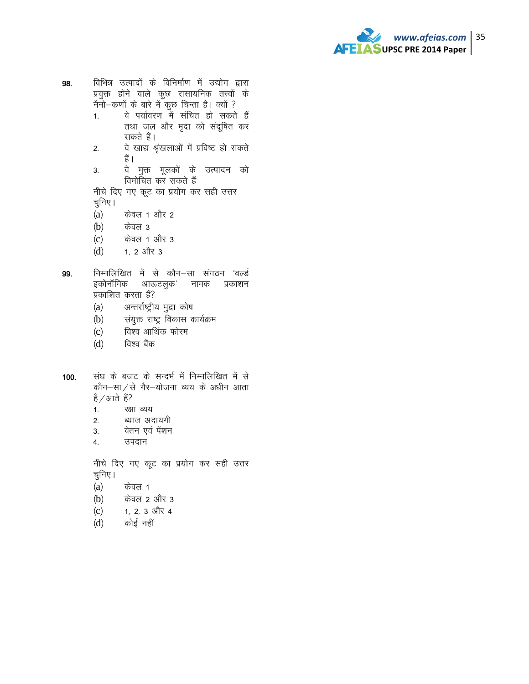

- विभिन्न उत्पादों के विनिर्माण में उद्योग द्वारा 98. प्रयुक्त होने वाले कुछ रासायनिक तत्त्वों के नैनो–कणों के बारे में कुछ चिन्ता है। क्यों ?
	- वे पर्यावरण में संचित हो सकते हैं  $1.$ तथा जल और मृदा को संदूषित कर सकते हैं।
	- वे खाद्य श्रृंखलाओं में प्रविष्ट हो सकते  $2.$ हैं ।
	- वे मुक्त मूलकों के उत्पादन को 3. विमोचित कर सकते हैं

नीचे दिए गए कूट का प्रयोग कर सही उत्तर चुनिए ।

- $(a)$ केवल 1 और 2
- $(b)$ केवल 3
- $(c)$ केवल 1 और 3
- $(d)$ 1, 2 और 3
- निम्नलिखित में से कौन-सा संगठन 'वर्ल्ड 99. इकोनॉमिक आऊटलुक' नामक प्रकाशन प्रकाशित करता है?
	- अन्तर्राष्ट्रीय मुद्रा कोष  $(a)$
	- संयुक्त राष्ट्र विकास कार्यक्रम  $(b)$
	- विश्व आर्थिक फोरम  $(c)$
	- विश्व बैंक  $(d)$
- संघ के बजट के सन्दर्भ में निम्नलिखित में से  $100.$ कौन-सा/से गैर-योजना व्यय के अधीन आता है / आते हैं?
	- रक्षा व्यय  $1.$
	- ब्याज अंदायगी  $\overline{2}$
	- वेतन एवं पेशन  $3.$
	- उपदान 4.

नीचे दिए गए कूट का प्रयोग कर सही उत्तर चुनिए ।

- $(a)$ केवल 1
- केवल 2 और 3  $(b)$
- $(c)$ 1, 2, 3 और 4
- कोई नहीं  $(d)$